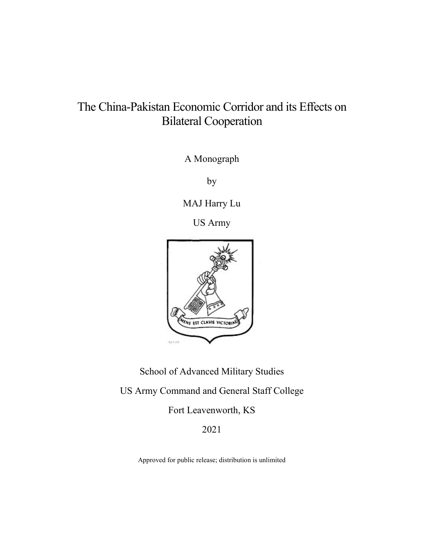# The China-Pakistan Economic Corridor and its Effects on Bilateral Cooperation

A Monograph

by

MAJ Harry Lu

US Army



School of Advanced Military Studies US Army Command and General Staff College

Fort Leavenworth, KS

2021

Approved for public release; distribution is unlimited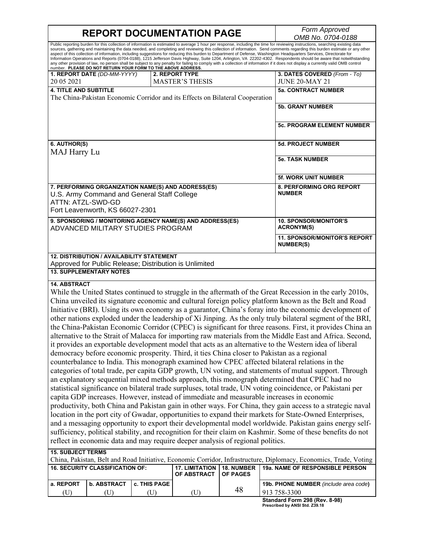**REPORT DOCUMENTATION PAGE** *Form Approved OMB No. 0704-0188* Public reporting burden for this collection of information is estimated to average 1 hour per response, including the time for reviewing instructions, searching existing data sources, gathering and maintaining the data needed, and completing and reviewing this collection of information. Send comments regarding this burden estimate or any other aspect of this collection of information, including suggestions for reducing this burden to Department of Defense, Washington Headquarters Services, Directorate for Information Operations and Reports (0704-0188), 1215 Jefferson Davis Highway, Suite 1204, Arlington, VA 22202-4302. Respondents should be aware that notwithstanding any other provision of law, no person shall be subject to any penalty for failing to comply with a collection of information if it does not display a currently valid OMB control<br>number. **PLEASE DO NOT RETURN YOUR FORM TO 1. REPORT DATE** *(DD-MM-YYYY)* 20 05 2021 **2. REPORT TYPE** MASTER'S THESIS **3. DATES COVERED** *(From - To)* JUNE 20-MAY 21 **4. TITLE AND SUBTITLE** The China-Pakistan Economic Corridor and its Effects on Bilateral Cooperation **5a. CONTRACT NUMBER 5b. GRANT NUMBER 5c. PROGRAM ELEMENT NUMBER 6. AUTHOR(S)** MAJ Harry Lu **5d. PROJECT NUMBER 5e. TASK NUMBER 5f. WORK UNIT NUMBER 7. PERFORMING ORGANIZATION NAME(S) AND ADDRESS(ES)** U.S. Army Command and General Staff College ATTN: ATZL-SWD-GD Fort Leavenworth, KS 66027-2301 **8. PERFORMING ORG REPORT NUMBER 9. SPONSORING / MONITORING AGENCY NAME(S) AND ADDRESS(ES)** ADVANCED MILITARY STUDIES PROGRAM **10. SPONSOR/MONITOR'S ACRONYM(S) 11. SPONSOR/MONITOR'S REPORT NUMBER(S) 12. DISTRIBUTION / AVAILABILITY STATEMENT** Approved for Public Release; Distribution is Unlimited **13. SUPPLEMENTARY NOTES 14. ABSTRACT** While the United States continued to struggle in the aftermath of the Great Recession in the early 2010s, China unveiled its signature economic and cultural foreign policy platform known as the Belt and Road Initiative (BRI). Using its own economy as a guarantor, China's foray into the economic development of other nations exploded under the leadership of Xi Jinping. As the only truly bilateral segment of the BRI, the China-Pakistan Economic Corridor (CPEC) is significant for three reasons. First, it provides China an

alternative to the Strait of Malacca for importing raw materials from the Middle East and Africa. Second, it provides an exportable development model that acts as an alternative to the Western idea of liberal democracy before economic prosperity. Third, it ties China closer to Pakistan as a regional counterbalance to India. This monograph examined how CPEC affected bilateral relations in the categories of total trade, per capita GDP growth, UN voting, and statements of mutual support. Through an explanatory sequential mixed methods approach, this monograph determined that CPEC had no statistical significance on bilateral trade surpluses, total trade, UN voting coincidence, or Pakistani per capita GDP increases. However, instead of immediate and measurable increases in economic productivity, both China and Pakistan gain in other ways. For China, they gain access to a strategic naval location in the port city of Gwadar, opportunities to expand their markets for State-Owned Enterprises, and a messaging opportunity to export their developmental model worldwide. Pakistan gains energy selfsufficiency, political stability, and recognition for their claim on Kashmir. Some of these benefits do not

#### reflect in economic data and may require deeper analysis of regional politics. **15. SUBJECT TERMS** China, Pakistan, Belt and Road Initiative, Economic Corridor, Infrastructure, Diplomacy, Economics, Trade, Voting **16. SECURITY CLASSIFICATION OF: 17. LIMITATION OF ABSTRACT 18. NUMBER OF PAGES** 48 **19a. NAME OF RESPONSIBLE PERSON a. REPORT b. ABSTRACT c. THIS PAGE 19b. PHONE NUMBER** *(include area code***)** (U)  $(U)$  (U)  $(U)$  (U)  $($ U)  $($ 48  $|$ 913 758-3300

**Standard Form 298 (Rev. 8-98) Prescribed by ANSI Std. Z39.18**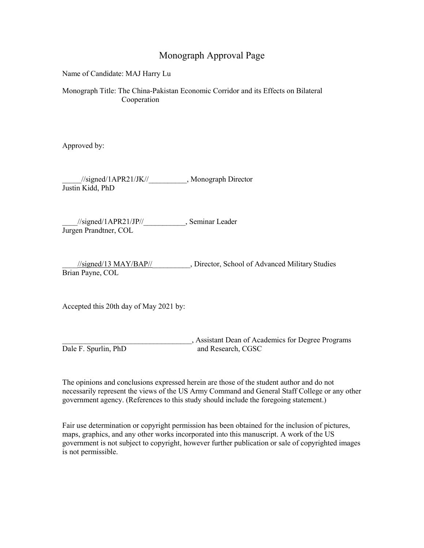## Monograph Approval Page

Name of Candidate: MAJ Harry Lu

Monograph Title: The China-Pakistan Economic Corridor and its Effects on Bilateral Cooperation

Approved by:

\_\_\_\_\_//signed/1APR21/JK//\_\_\_\_\_\_\_\_\_\_, Monograph Director Justin Kidd, PhD

\_\_\_\_//signed/1APR21/JP//\_\_\_\_\_\_\_\_\_\_\_, Seminar Leader Jurgen Prandtner, COL

\_\_\_\_//signed/13 MAY/BAP//\_\_\_\_\_\_\_\_\_\_, Director, School of Advanced Military Studies Brian Payne, COL

Accepted this 20th day of May 2021 by:

\_\_\_\_\_\_\_\_\_\_\_\_\_\_\_\_\_\_\_\_\_\_\_\_\_\_\_\_\_\_\_\_\_\_, Assistant Dean of Academics for Degree Programs Dale F. Spurlin, PhD and Research, CGSC

The opinions and conclusions expressed herein are those of the student author and do not necessarily represent the views of the US Army Command and General Staff College or any other government agency. (References to this study should include the foregoing statement.)

Fair use determination or copyright permission has been obtained for the inclusion of pictures, maps, graphics, and any other works incorporated into this manuscript. A work of the US government is not subject to copyright, however further publication or sale of copyrighted images is not permissible.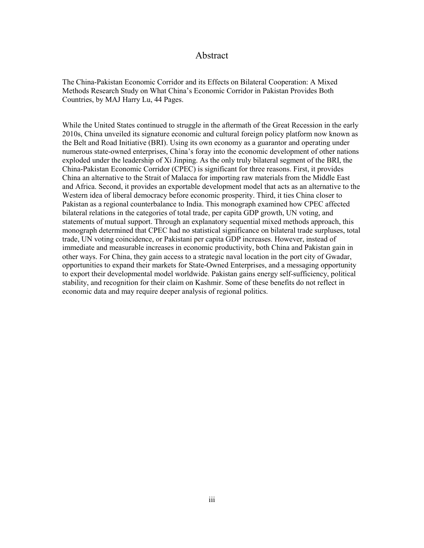### Abstract

<span id="page-3-0"></span>The China-Pakistan Economic Corridor and its Effects on Bilateral Cooperation: A Mixed Methods Research Study on What China's Economic Corridor in Pakistan Provides Both Countries, by MAJ Harry Lu, 44 Pages.

While the United States continued to struggle in the aftermath of the Great Recession in the early 2010s, China unveiled its signature economic and cultural foreign policy platform now known as the Belt and Road Initiative (BRI). Using its own economy as a guarantor and operating under numerous state-owned enterprises, China's foray into the economic development of other nations exploded under the leadership of Xi Jinping. As the only truly bilateral segment of the BRI, the China-Pakistan Economic Corridor (CPEC) is significant for three reasons. First, it provides China an alternative to the Strait of Malacca for importing raw materials from the Middle East and Africa. Second, it provides an exportable development model that acts as an alternative to the Western idea of liberal democracy before economic prosperity. Third, it ties China closer to Pakistan as a regional counterbalance to India. This monograph examined how CPEC affected bilateral relations in the categories of total trade, per capita GDP growth, UN voting, and statements of mutual support. Through an explanatory sequential mixed methods approach, this monograph determined that CPEC had no statistical significance on bilateral trade surpluses, total trade, UN voting coincidence, or Pakistani per capita GDP increases. However, instead of immediate and measurable increases in economic productivity, both China and Pakistan gain in other ways. For China, they gain access to a strategic naval location in the port city of Gwadar, opportunities to expand their markets for State-Owned Enterprises, and a messaging opportunity to export their developmental model worldwide. Pakistan gains energy self-sufficiency, political stability, and recognition for their claim on Kashmir. Some of these benefits do not reflect in economic data and may require deeper analysis of regional politics.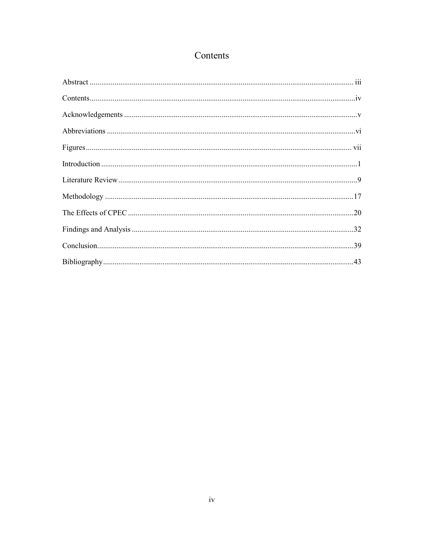## Contents

<span id="page-4-0"></span>

| $Contents \dots 1 \cdot IV$ |  |
|-----------------------------|--|
|                             |  |
|                             |  |
|                             |  |
|                             |  |
|                             |  |
|                             |  |
|                             |  |
|                             |  |
|                             |  |
|                             |  |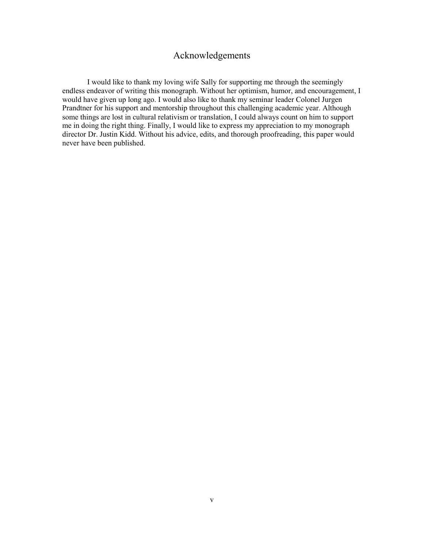## Acknowledgements

<span id="page-5-0"></span> I would like to thank my loving wife Sally for supporting me through the seemingly endless endeavor of writing this monograph. Without her optimism, humor, and encouragement, I would have given up long ago. I would also like to thank my seminar leader Colonel Jurgen Prandtner for his support and mentorship throughout this challenging academic year. Although some things are lost in cultural relativism or translation, I could always count on him to support me in doing the right thing. Finally, I would like to express my appreciation to my monograph director Dr. Justin Kidd. Without his advice, edits, and thorough proofreading, this paper would never have been published.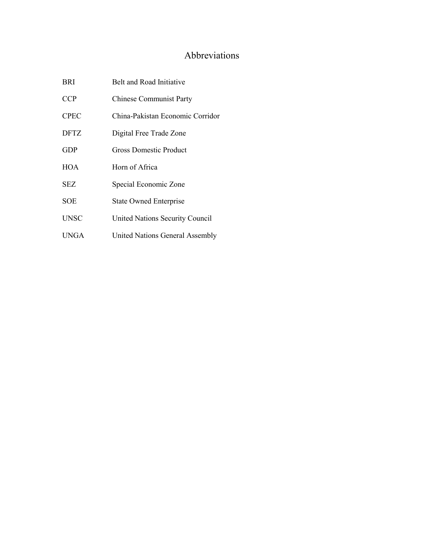## Abbreviations

<span id="page-6-0"></span>

| BRI         | Belt and Road Initiative         |
|-------------|----------------------------------|
| <b>CCP</b>  | <b>Chinese Communist Party</b>   |
| <b>CPEC</b> | China-Pakistan Economic Corridor |
| <b>DFTZ</b> | Digital Free Trade Zone          |
| <b>GDP</b>  | Gross Domestic Product           |
| <b>HOA</b>  | Horn of Africa                   |
| SEZ.        | Special Economic Zone            |
| SOE         | <b>State Owned Enterprise</b>    |
| UNSC        | United Nations Security Council  |
| UNGA        | United Nations General Assembly  |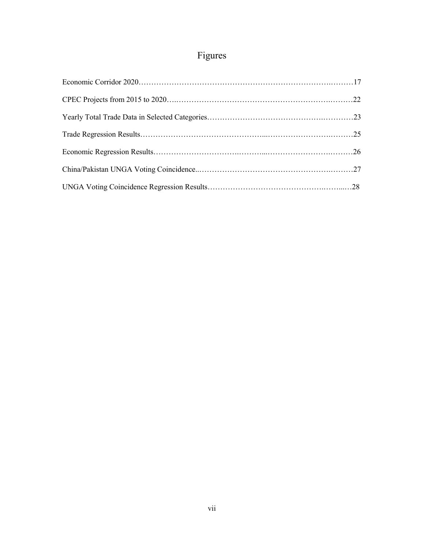# Figures

<span id="page-7-0"></span>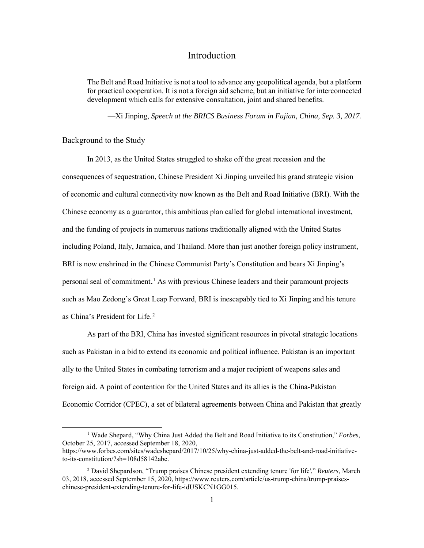## Introduction

<span id="page-8-0"></span>The Belt and Road Initiative is not a tool to advance any geopolitical agenda, but a platform for practical cooperation. It is not a foreign aid scheme, but an initiative for interconnected development which calls for extensive consultation, joint and shared benefits.

—Xi Jinping, *Speech at the BRICS Business Forum in Fujian, China, Sep. 3, 2017.*

Background to the Study

In 2013, as the United States struggled to shake off the great recession and the consequences of sequestration, Chinese President Xi Jinping unveiled his grand strategic vision of economic and cultural connectivity now known as the Belt and Road Initiative (BRI). With the Chinese economy as a guarantor, this ambitious plan called for global international investment, and the funding of projects in numerous nations traditionally aligned with the United States including Poland, Italy, Jamaica, and Thailand. More than just another foreign policy instrument, BRI is now enshrined in the Chinese Communist Party's Constitution and bears Xi Jinping's personal seal of commitment.<sup>1</sup> As with previous Chinese leaders and their paramount projects such as Mao Zedong's Great Leap Forward, BRI is inescapably tied to Xi Jinping and his tenure as China's President for Life.<sup>2</sup>

As part of the BRI, China has invested significant resources in pivotal strategic locations such as Pakistan in a bid to extend its economic and political influence. Pakistan is an important ally to the United States in combating terrorism and a major recipient of weapons sales and foreign aid. A point of contention for the United States and its allies is the China-Pakistan Economic Corridor (CPEC), a set of bilateral agreements between China and Pakistan that greatly

 <sup>1</sup> Wade Shepard, "Why China Just Added the Belt and Road Initiative to its Constitution," *Forbes*, October 25, 2017, accessed September 18, 2020,

[https://www.forbes.com/sites/wadeshepard/2017/10/25/why-china-just-added-the-belt-and-road-initiative](about:blank)[to-its-constitution/?sh=108d58142abc.](about:blank)

<sup>2</sup> David Shepardson, "Trump praises Chinese president extending tenure 'for life'," *Reuters*, March 03, 2018, accessed September 15, 2020, https://www.reuters.com/article/us-trump-china/trump-praiseschinese-president-extending-tenure-for-life-idUSKCN1GG015.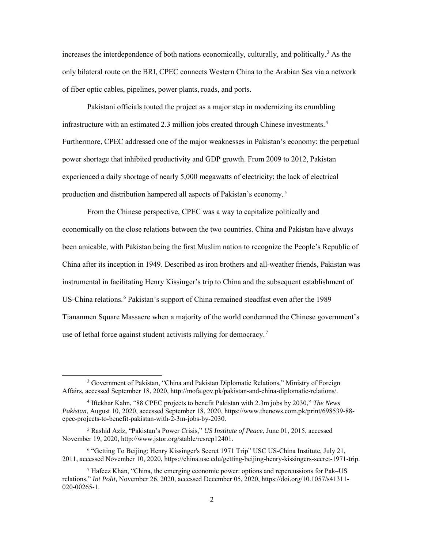increases the interdependence of both nations economically, culturally, and politically.<sup>3</sup> As the only bilateral route on the BRI, CPEC connects Western China to the Arabian Sea via a network of fiber optic cables, pipelines, power plants, roads, and ports.

Pakistani officials touted the project as a major step in modernizing its crumbling infrastructure with an estimated 2.3 million jobs created through Chinese investments.<sup>4</sup> Furthermore, CPEC addressed one of the major weaknesses in Pakistan's economy: the perpetual power shortage that inhibited productivity and GDP growth. From 2009 to 2012, Pakistan experienced a daily shortage of nearly 5,000 megawatts of electricity; the lack of electrical production and distribution hampered all aspects of Pakistan's economy.<sup>5</sup>

From the Chinese perspective, CPEC was a way to capitalize politically and economically on the close relations between the two countries. China and Pakistan have always been amicable, with Pakistan being the first Muslim nation to recognize the People's Republic of China after its inception in 1949. Described as iron brothers and all-weather friends, Pakistan was instrumental in facilitating Henry Kissinger's trip to China and the subsequent establishment of US-China relations.<sup>6</sup> Pakistan's support of China remained steadfast even after the 1989 Tiananmen Square Massacre when a majority of the world condemned the Chinese government's use of lethal force against student activists rallying for democracy.<sup>7</sup>

 <sup>3</sup> Government of Pakistan, "China and Pakistan Diplomatic Relations," Ministry of Foreign Affairs, accessed September 18, 2020, [http://mofa.gov.pk/pakistan-and-china-diplomatic-relations/.](about:blank)

<sup>4</sup> Iftekhar Kahn, "88 CPEC projects to benefit Pakistan with 2.3m jobs by 2030," *The News Pakistan*, August 10, 2020, accessed September 18, 2020, [https://www.thenews.com.pk/print/698539-88](about:blank) [cpec-projects-to-benefit-pakistan-with-2-3m-jobs-by-2030.](about:blank) 

<sup>5</sup> Rashid Aziz, "Pakistan's Power Crisis," *US Institute of Peace*, June 01, 2015, accessed November 19, 2020[, http://www.jstor.org/stable/resrep12401.](about:blank)

<sup>&</sup>lt;sup>6</sup> "Getting To Beijing: Henry Kissinger's Secret 1971 Trip" USC US-China Institute, July 21, 2011, accessed November 10, 2020, [https://china.usc.edu/getting-beijing-henry-kissingers-secret-1971-trip.](about:blank)

<sup>&</sup>lt;sup>7</sup> Hafeez Khan, "China, the emerging economic power: options and repercussions for Pak–US relations," *Int Polit,* November 26, 2020, accessed December 05, 2020, https://doi.org/10.1057/s41311- 020-00265-1.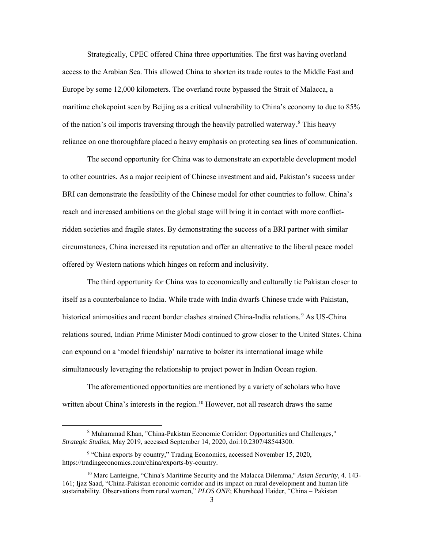Strategically, CPEC offered China three opportunities. The first was having overland access to the Arabian Sea. This allowed China to shorten its trade routes to the Middle East and Europe by some 12,000 kilometers. The overland route bypassed the Strait of Malacca, a maritime chokepoint seen by Beijing as a critical vulnerability to China's economy to due to 85% of the nation's oil imports traversing through the heavily patrolled waterway.<sup>8</sup> This heavy reliance on one thoroughfare placed a heavy emphasis on protecting sea lines of communication.

 The second opportunity for China was to demonstrate an exportable development model to other countries. As a major recipient of Chinese investment and aid, Pakistan's success under BRI can demonstrate the feasibility of the Chinese model for other countries to follow. China's reach and increased ambitions on the global stage will bring it in contact with more conflictridden societies and fragile states. By demonstrating the success of a BRI partner with similar circumstances, China increased its reputation and offer an alternative to the liberal peace model offered by Western nations which hinges on reform and inclusivity.

 The third opportunity for China was to economically and culturally tie Pakistan closer to itself as a counterbalance to India. While trade with India dwarfs Chinese trade with Pakistan, historical animosities and recent border clashes strained China-India relations.<sup>9</sup> As US-China relations soured, Indian Prime Minister Modi continued to grow closer to the United States. China can expound on a 'model friendship' narrative to bolster its international image while simultaneously leveraging the relationship to project power in Indian Ocean region.

 The aforementioned opportunities are mentioned by a variety of scholars who have written about China's interests in the region.<sup>10</sup> However, not all research draws the same

 <sup>8</sup> Muhammad Khan, "China-Pakistan Economic Corridor: Opportunities and Challenges," *Strategic Studies*, May 2019, accessed September 14, 2020, doi:10.2307/48544300.

<sup>&</sup>lt;sup>9</sup> "China exports by country," Trading Economics, accessed November 15, 2020, https://tradingeconomics.com/china/exports-by-country.

<sup>10</sup> Marc Lanteigne, "China's Maritime Security and the Malacca Dilemma," *Asian Security*, 4. 143- 161; Ijaz Saad, "China-Pakistan economic corridor and its impact on rural development and human life sustainability. Observations from rural women," *PLOS ONE*; Khursheed Haider, "China – Pakistan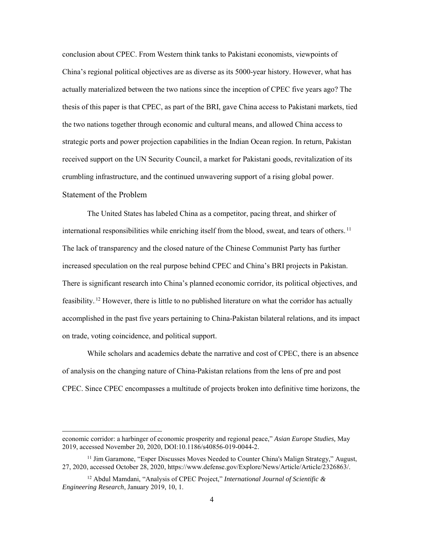conclusion about CPEC. From Western think tanks to Pakistani economists, viewpoints of China's regional political objectives are as diverse as its 5000-year history. However, what has actually materialized between the two nations since the inception of CPEC five years ago? The thesis of this paper is that CPEC, as part of the BRI, gave China access to Pakistani markets, tied the two nations together through economic and cultural means, and allowed China access to strategic ports and power projection capabilities in the Indian Ocean region. In return, Pakistan received support on the UN Security Council, a market for Pakistani goods, revitalization of its crumbling infrastructure, and the continued unwavering support of a rising global power. Statement of the Problem

The United States has labeled China as a competitor, pacing threat, and shirker of international responsibilities while enriching itself from the blood, sweat, and tears of others.<sup>11</sup> The lack of transparency and the closed nature of the Chinese Communist Party has further increased speculation on the real purpose behind CPEC and China's BRI projects in Pakistan. There is significant research into China's planned economic corridor, its political objectives, and feasibility.<sup>12</sup> However, there is little to no published literature on what the corridor has actually accomplished in the past five years pertaining to China-Pakistan bilateral relations, and its impact on trade, voting coincidence, and political support.

While scholars and academics debate the narrative and cost of CPEC, there is an absence of analysis on the changing nature of China-Pakistan relations from the lens of pre and post CPEC. Since CPEC encompasses a multitude of projects broken into definitive time horizons, the

 $\overline{a}$ 

economic corridor: a harbinger of economic prosperity and regional peace," *Asian Europe Studies,* May 2019, accessed November 20, 2020, DOI:10.1186/s40856-019-0044-2.

 $11$  Jim Garamone, "Esper Discusses Moves Needed to Counter China's Malign Strategy," August, 27, 2020, accessed October 28, 2020, https://www.defense.gov/Explore/News/Article/Article/2326863/.

<sup>12</sup> Abdul Mamdani, "Analysis of CPEC Project," *International Journal of Scientific & Engineering Research*, January 2019, 10, 1.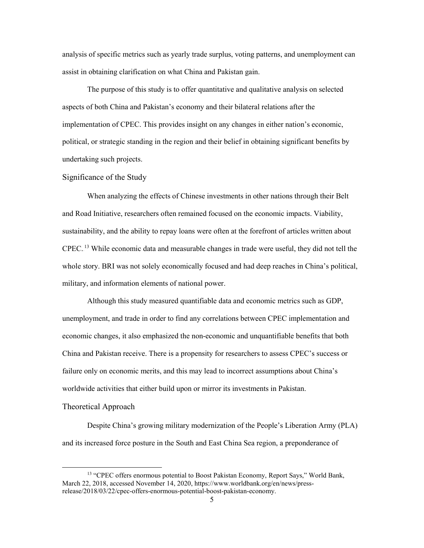analysis of specific metrics such as yearly trade surplus, voting patterns, and unemployment can assist in obtaining clarification on what China and Pakistan gain.

The purpose of this study is to offer quantitative and qualitative analysis on selected aspects of both China and Pakistan's economy and their bilateral relations after the implementation of CPEC. This provides insight on any changes in either nation's economic, political, or strategic standing in the region and their belief in obtaining significant benefits by undertaking such projects.

#### Significance of the Study

When analyzing the effects of Chinese investments in other nations through their Belt and Road Initiative, researchers often remained focused on the economic impacts. Viability, sustainability, and the ability to repay loans were often at the forefront of articles written about CPEC.<sup>13</sup> While economic data and measurable changes in trade were useful, they did not tell the whole story. BRI was not solely economically focused and had deep reaches in China's political, military, and information elements of national power.

Although this study measured quantifiable data and economic metrics such as GDP, unemployment, and trade in order to find any correlations between CPEC implementation and economic changes, it also emphasized the non-economic and unquantifiable benefits that both China and Pakistan receive. There is a propensity for researchers to assess CPEC's success or failure only on economic merits, and this may lead to incorrect assumptions about China's worldwide activities that either build upon or mirror its investments in Pakistan.

#### Theoretical Approach

 Despite China's growing military modernization of the People's Liberation Army (PLA) and its increased force posture in the South and East China Sea region, a preponderance of

<sup>&</sup>lt;sup>13</sup> "CPEC offers enormous potential to Boost Pakistan Economy, Report Says," World Bank, March 22, 2018, accessed November 14, 2020, https://www.worldbank.org/en/news/pressrelease/2018/03/22/cpec-offers-enormous-potential-boost-pakistan-economy.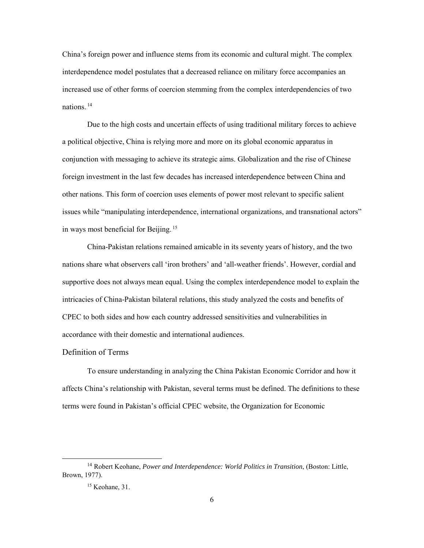China's foreign power and influence stems from its economic and cultural might. The complex interdependence model postulates that a decreased reliance on military force accompanies an increased use of other forms of coercion stemming from the complex interdependencies of two nations.<sup>14</sup>

 Due to the high costs and uncertain effects of using traditional military forces to achieve a political objective, China is relying more and more on its global economic apparatus in conjunction with messaging to achieve its strategic aims. Globalization and the rise of Chinese foreign investment in the last few decades has increased interdependence between China and other nations. This form of coercion uses elements of power most relevant to specific salient issues while "manipulating interdependence, international organizations, and transnational actors" in ways most beneficial for Beijing.<sup>15</sup>

 China-Pakistan relations remained amicable in its seventy years of history, and the two nations share what observers call 'iron brothers' and 'all-weather friends'. However, cordial and supportive does not always mean equal. Using the complex interdependence model to explain the intricacies of China-Pakistan bilateral relations, this study analyzed the costs and benefits of CPEC to both sides and how each country addressed sensitivities and vulnerabilities in accordance with their domestic and international audiences.

#### Definition of Terms

To ensure understanding in analyzing the China Pakistan Economic Corridor and how it affects China's relationship with Pakistan, several terms must be defined. The definitions to these terms were found in Pakistan's official CPEC website, the Organization for Economic

 <sup>14</sup> Robert Keohane, *Power and Interdependence: World Politics in Transition*, (Boston: Little, Brown, 1977).

<sup>15</sup> Keohane, 31.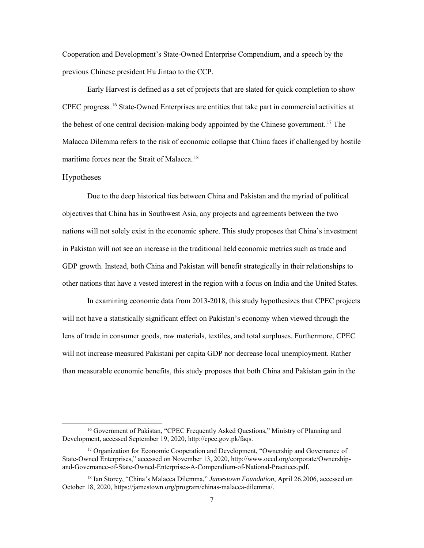Cooperation and Development's State-Owned Enterprise Compendium, and a speech by the previous Chinese president Hu Jintao to the CCP.

Early Harvest is defined as a set of projects that are slated for quick completion to show CPEC progress.<sup>16</sup> State-Owned Enterprises are entities that take part in commercial activities at the behest of one central decision-making body appointed by the Chinese government.<sup>17</sup> The Malacca Dilemma refers to the risk of economic collapse that China faces if challenged by hostile maritime forces near the Strait of Malacca.<sup>18</sup>

#### Hypotheses

Due to the deep historical ties between China and Pakistan and the myriad of political objectives that China has in Southwest Asia, any projects and agreements between the two nations will not solely exist in the economic sphere. This study proposes that China's investment in Pakistan will not see an increase in the traditional held economic metrics such as trade and GDP growth. Instead, both China and Pakistan will benefit strategically in their relationships to other nations that have a vested interest in the region with a focus on India and the United States.

 In examining economic data from 2013-2018, this study hypothesizes that CPEC projects will not have a statistically significant effect on Pakistan's economy when viewed through the lens of trade in consumer goods, raw materials, textiles, and total surpluses. Furthermore, CPEC will not increase measured Pakistani per capita GDP nor decrease local unemployment. Rather than measurable economic benefits, this study proposes that both China and Pakistan gain in the

<sup>&</sup>lt;sup>16</sup> Government of Pakistan, "CPEC Frequently Asked Questions," Ministry of Planning and Development, accessed September 19, 2020[, http://cpec.gov.pk/faqs.](about:blank) 

<sup>&</sup>lt;sup>17</sup> Organization for Economic Cooperation and Development, "Ownership and Governance of State-Owned Enterprises," accessed on November 13, 2020, [http://www.oecd.org/corporate/Ownership](about:blank)[and-Governance-of-State-Owned-Enterprises-A-Compendium-of-National-Practices.pdf.](about:blank)

<sup>18</sup> Ian Storey, "China's Malacca Dilemma," *Jamestown Foundation*, April 26,2006, accessed on October 18, 2020, https://jamestown.org/program/chinas-malacca-dilemma/.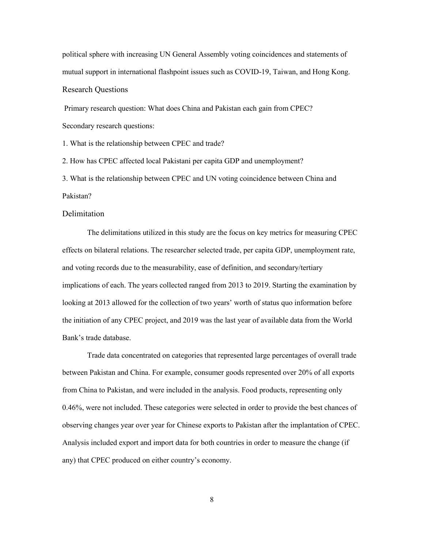political sphere with increasing UN General Assembly voting coincidences and statements of mutual support in international flashpoint issues such as COVID-19, Taiwan, and Hong Kong. Research Questions

Primary research question: What does China and Pakistan each gain from CPEC? Secondary research questions:

1. What is the relationship between CPEC and trade?

2. How has CPEC affected local Pakistani per capita GDP and unemployment?

3. What is the relationship between CPEC and UN voting coincidence between China and Pakistan?

#### Delimitation

The delimitations utilized in this study are the focus on key metrics for measuring CPEC effects on bilateral relations. The researcher selected trade, per capita GDP, unemployment rate, and voting records due to the measurability, ease of definition, and secondary/tertiary implications of each. The years collected ranged from 2013 to 2019. Starting the examination by looking at 2013 allowed for the collection of two years' worth of status quo information before the initiation of any CPEC project, and 2019 was the last year of available data from the World Bank's trade database.

Trade data concentrated on categories that represented large percentages of overall trade between Pakistan and China. For example, consumer goods represented over 20% of all exports from China to Pakistan, and were included in the analysis. Food products, representing only 0.46%, were not included. These categories were selected in order to provide the best chances of observing changes year over year for Chinese exports to Pakistan after the implantation of CPEC. Analysis included export and import data for both countries in order to measure the change (if any) that CPEC produced on either country's economy.

8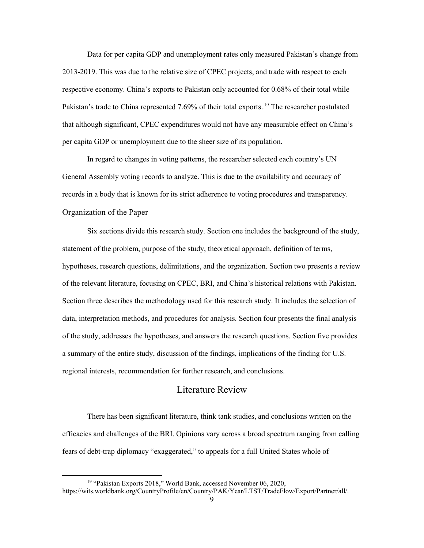Data for per capita GDP and unemployment rates only measured Pakistan's change from 2013-2019. This was due to the relative size of CPEC projects, and trade with respect to each respective economy. China's exports to Pakistan only accounted for 0.68% of their total while Pakistan's trade to China represented 7.69% of their total exports.<sup>19</sup> The researcher postulated that although significant, CPEC expenditures would not have any measurable effect on China's per capita GDP or unemployment due to the sheer size of its population.

In regard to changes in voting patterns, the researcher selected each country's UN General Assembly voting records to analyze. This is due to the availability and accuracy of records in a body that is known for its strict adherence to voting procedures and transparency. Organization of the Paper

Six sections divide this research study. Section one includes the background of the study, statement of the problem, purpose of the study, theoretical approach, definition of terms, hypotheses, research questions, delimitations, and the organization. Section two presents a review of the relevant literature, focusing on CPEC, BRI, and China's historical relations with Pakistan. Section three describes the methodology used for this research study. It includes the selection of data, interpretation methods, and procedures for analysis. Section four presents the final analysis of the study, addresses the hypotheses, and answers the research questions. Section five provides a summary of the entire study, discussion of the findings, implications of the finding for U.S. regional interests, recommendation for further research, and conclusions.

## Literature Review

<span id="page-16-0"></span>There has been significant literature, think tank studies, and conclusions written on the efficacies and challenges of the BRI. Opinions vary across a broad spectrum ranging from calling fears of debt-trap diplomacy "exaggerated," to appeals for a full United States whole of

<sup>&</sup>lt;sup>19</sup> "Pakistan Exports 2018," World Bank, accessed November 06, 2020, https://wits.worldbank.org/CountryProfile/en/Country/PAK/Year/LTST/TradeFlow/Export/Partner/all/.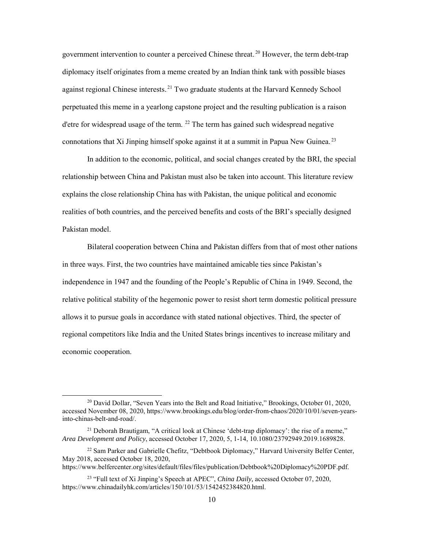government intervention to counter a perceived Chinese threat.<sup>20</sup> However, the term debt-trap diplomacy itself originates from a meme created by an Indian think tank with possible biases against regional Chinese interests.<sup>21</sup> Two graduate students at the Harvard Kennedy School perpetuated this meme in a yearlong capstone project and the resulting publication is a raison d'etre for widespread usage of the term.  $^{22}$  The term has gained such widespread negative connotations that Xi Jinping himself spoke against it at a summit in Papua New Guinea.<sup>23</sup>

In addition to the economic, political, and social changes created by the BRI, the special relationship between China and Pakistan must also be taken into account. This literature review explains the close relationship China has with Pakistan, the unique political and economic realities of both countries, and the perceived benefits and costs of the BRI's specially designed Pakistan model.

 Bilateral cooperation between China and Pakistan differs from that of most other nations in three ways. First, the two countries have maintained amicable ties since Pakistan's independence in 1947 and the founding of the People's Republic of China in 1949. Second, the relative political stability of the hegemonic power to resist short term domestic political pressure allows it to pursue goals in accordance with stated national objectives. Third, the specter of regional competitors like India and the United States brings incentives to increase military and economic cooperation.

https://www.belfercenter.org/sites/default/files/files/publication/Debtbook%20Diplomacy%20PDF.pdf.

 $20$  David Dollar, "Seven Years into the Belt and Road Initiative," Brookings, October 01, 2020, accessed November 08, 2020, [https://www.brookings.edu/blog/order-from-chaos/2020/10/01/seven-years](about:blank)[into-chinas-belt-and-road/.](about:blank) 

<sup>&</sup>lt;sup>21</sup> Deborah Brautigam, "A critical look at Chinese 'debt-trap diplomacy': the rise of a meme," *Area Development and Policy*, accessed October 17, 2020, 5, 1-14, 10.1080/23792949.2019.1689828.

<sup>&</sup>lt;sup>22</sup> Sam Parker and Gabrielle Chefitz, "Debtbook Diplomacy," Harvard University Belfer Center, May 2018, accessed October 18, 2020,

<sup>23</sup> "Full text of Xi Jinping's Speech at APEC", *China Daily,* accessed October 07, 2020, https://www.chinadailyhk.com/articles/150/101/53/1542452384820.html.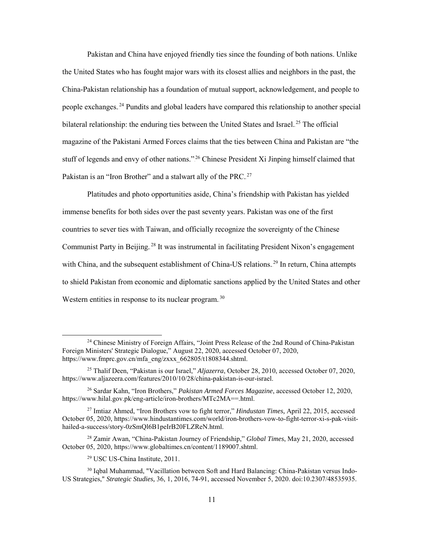Pakistan and China have enjoyed friendly ties since the founding of both nations. Unlike the United States who has fought major wars with its closest allies and neighbors in the past, the China-Pakistan relationship has a foundation of mutual support, acknowledgement, and people to people exchanges.<sup>24</sup> Pundits and global leaders have compared this relationship to another special bilateral relationship: the enduring ties between the United States and Israel.<sup>25</sup> The official magazine of the Pakistani Armed Forces claims that the ties between China and Pakistan are "the stuff of legends and envy of other nations."<sup>26</sup> Chinese President Xi Jinping himself claimed that Pakistan is an "Iron Brother" and a stalwart ally of the PRC.<sup>27</sup>

 Platitudes and photo opportunities aside, China's friendship with Pakistan has yielded immense benefits for both sides over the past seventy years. Pakistan was one of the first countries to sever ties with Taiwan, and officially recognize the sovereignty of the Chinese Communist Party in Beijing.<sup>28</sup> It was instrumental in facilitating President Nixon's engagement with China, and the subsequent establishment of China-US relations.<sup>29</sup> In return, China attempts to shield Pakistan from economic and diplomatic sanctions applied by the United States and other Western entities in response to its nuclear program. $^{30}$ 

<sup>&</sup>lt;sup>24</sup> Chinese Ministry of Foreign Affairs, "Joint Press Release of the 2nd Round of China-Pakistan Foreign Ministers' Strategic Dialogue," August 22, 2020, accessed October 07, 2020, https://www.fmprc.gov.cn/mfa\_eng/zxxx\_662805/t1808344.shtml.

<sup>25</sup> Thalif Deen, "Pakistan is our Israel," *Aljazerra*, October 28, 2010, accessed October 07, 2020, https://www.aljazeera.com/features/2010/10/28/china-pakistan-is-our-israel.

<sup>26</sup> Sardar Kahn, "Iron Brothers," *Pakistan Armed Forces Magazine*, accessed October 12, 2020, [https://www.hilal.gov.pk/eng-article/iron-brothers/MTc2MA==.html.](about:blank)

<sup>27</sup> Imtiaz Ahmed, "Iron Brothers vow to fight terror," *Hindustan Times,* April 22, 2015, accessed October 05, 2020[, https://www.hindustantimes.com/world/iron-brothers-vow-to-fight-terror-xi-s-pak-visit](about:blank)[hailed-a-success/story-0zSmQl6B1peIrB20FLZReN.html.](about:blank)

<sup>28</sup> Zamir Awan, "China-Pakistan Journey of Friendship," *Global Times*, May 21, 2020, accessed October 05, 2020[, https://www.globaltimes.cn/content/1189007.shtml.](about:blank)

<sup>29</sup> USC US-China Institute, 2011.

<sup>&</sup>lt;sup>30</sup> Igbal Muhammad, "Vacillation between Soft and Hard Balancing: China-Pakistan versus Indo-US Strategies," *Strategic Studies,* 36, 1, 2016, 74-91, accessed November 5, 2020. doi:10.2307/48535935.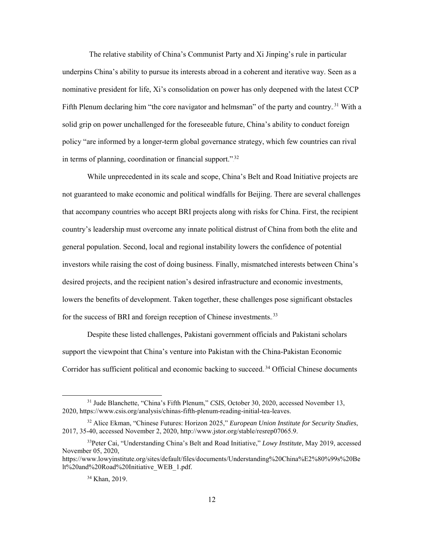The relative stability of China's Communist Party and Xi Jinping's rule in particular underpins China's ability to pursue its interests abroad in a coherent and iterative way. Seen as a nominative president for life, Xi's consolidation on power has only deepened with the latest CCP Fifth Plenum declaring him "the core navigator and helmsman" of the party and country.<sup>31</sup> With a solid grip on power unchallenged for the foreseeable future, China's ability to conduct foreign policy "are informed by a longer-term global governance strategy, which few countries can rival in terms of planning, coordination or financial support."<sup>32</sup>

 While unprecedented in its scale and scope, China's Belt and Road Initiative projects are not guaranteed to make economic and political windfalls for Beijing. There are several challenges that accompany countries who accept BRI projects along with risks for China. First, the recipient country's leadership must overcome any innate political distrust of China from both the elite and general population. Second, local and regional instability lowers the confidence of potential investors while raising the cost of doing business. Finally, mismatched interests between China's desired projects, and the recipient nation's desired infrastructure and economic investments, lowers the benefits of development. Taken together, these challenges pose significant obstacles for the success of BRI and foreign reception of Chinese investments.<sup>33</sup>

Despite these listed challenges, Pakistani government officials and Pakistani scholars support the viewpoint that China's venture into Pakistan with the China-Pakistan Economic Corridor has sufficient political and economic backing to succeed.<sup>34</sup> Official Chinese documents

<sup>&</sup>lt;sup>31</sup> Jude Blanchette, "China's Fifth Plenum," *CSIS*, October 30, 2020, accessed November 13, 2020, https://www.csis.org/analysis/chinas-fifth-plenum-reading-initial-tea-leaves.

<sup>32</sup> Alice Ekman, "Chinese Futures: Horizon 2025," *European Union Institute for Security Studies*, 2017, 35-40, accessed November 2, 2020, http://www.jstor.org/stable/resrep07065.9.

<sup>33</sup>Peter Cai, "Understanding China's Belt and Road Initiative," *Lowy Institute*, May 2019, accessed November 05, 2020,

https://www.lowyinstitute.org/sites/default/files/documents/Understanding%20China%E2%80%99s%20Be lt%20and%20Road%20Initiative\_WEB\_1.pdf.

<sup>34</sup> Khan, 2019.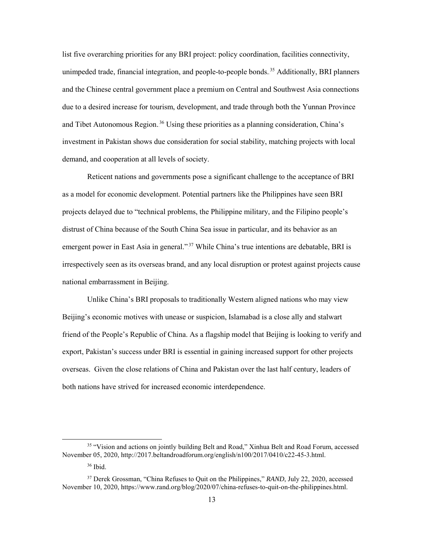list five overarching priorities for any BRI project: policy coordination, facilities connectivity, unimpeded trade, financial integration, and people-to-people bonds.<sup>35</sup> Additionally, BRI planners and the Chinese central government place a premium on Central and Southwest Asia connections due to a desired increase for tourism, development, and trade through both the Yunnan Province and Tibet Autonomous Region.<sup>36</sup> Using these priorities as a planning consideration, China's investment in Pakistan shows due consideration for social stability, matching projects with local demand, and cooperation at all levels of society.

Reticent nations and governments pose a significant challenge to the acceptance of BRI as a model for economic development. Potential partners like the Philippines have seen BRI projects delayed due to "technical problems, the Philippine military, and the Filipino people's distrust of China because of the South China Sea issue in particular, and its behavior as an emergent power in East Asia in general."<sup>37</sup> While China's true intentions are debatable, BRI is irrespectively seen as its overseas brand, and any local disruption or protest against projects cause national embarrassment in Beijing.

 Unlike China's BRI proposals to traditionally Western aligned nations who may view Beijing's economic motives with unease or suspicion, Islamabad is a close ally and stalwart friend of the People's Republic of China. As a flagship model that Beijing is looking to verify and export, Pakistan's success under BRI is essential in gaining increased support for other projects overseas. Given the close relations of China and Pakistan over the last half century, leaders of both nations have strived for increased economic interdependence.

 <sup>35</sup> "Vision and actions on jointly building Belt and Road," Xinhua Belt and Road Forum, accessed November 05, 2020[, http://2017.beltandroadforum.org/english/n100/2017/0410/c22-45-3.html.](about:blank) 

<sup>36</sup> Ibid.

<sup>37</sup> Derek Grossman, "China Refuses to Quit on the Philippines," *RAND*, July 22, 2020, accessed November 10, 2020, https://www.rand.org/blog/2020/07/china-refuses-to-quit-on-the-philippines.html.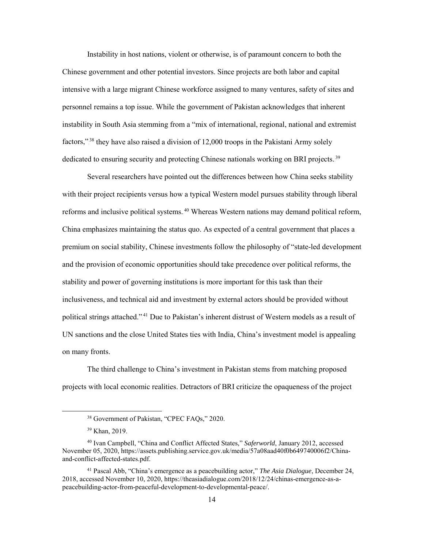Instability in host nations, violent or otherwise, is of paramount concern to both the Chinese government and other potential investors. Since projects are both labor and capital intensive with a large migrant Chinese workforce assigned to many ventures, safety of sites and personnel remains a top issue. While the government of Pakistan acknowledges that inherent instability in South Asia stemming from a "mix of international, regional, national and extremist factors,"<sup>38</sup> they have also raised a division of 12,000 troops in the Pakistani Army solely dedicated to ensuring security and protecting Chinese nationals working on BRI projects.<sup>39</sup>

Several researchers have pointed out the differences between how China seeks stability with their project recipients versus how a typical Western model pursues stability through liberal reforms and inclusive political systems.<sup>40</sup> Whereas Western nations may demand political reform, China emphasizes maintaining the status quo. As expected of a central government that places a premium on social stability, Chinese investments follow the philosophy of "state-led development and the provision of economic opportunities should take precedence over political reforms, the stability and power of governing institutions is more important for this task than their inclusiveness, and technical aid and investment by external actors should be provided without political strings attached."<sup>41</sup> Due to Pakistan's inherent distrust of Western models as a result of UN sanctions and the close United States ties with India, China's investment model is appealing on many fronts.

The third challenge to China's investment in Pakistan stems from matching proposed projects with local economic realities. Detractors of BRI criticize the opaqueness of the project

 <sup>38</sup> Government of Pakistan, "CPEC FAQs," 2020.

<sup>39</sup> Khan, 2019.

<sup>40</sup> Ivan Campbell, "China and Conflict Affected States," *Saferworld*, January 2012, accessed November 05, 2020[, https://assets.publishing.service.gov.uk/media/57a08aad40f0b649740006f2/China](about:blank)[and-conflict-affected-states.pdf.](about:blank)

<sup>41</sup> Pascal Abb, "China's emergence as a peacebuilding actor," *The Asia Dialogue*, December 24, 2018, accessed November 10, 2020, https://theasiadialogue.com/2018/12/24/chinas-emergence-as-apeacebuilding-actor-from-peaceful-development-to-developmental-peace/.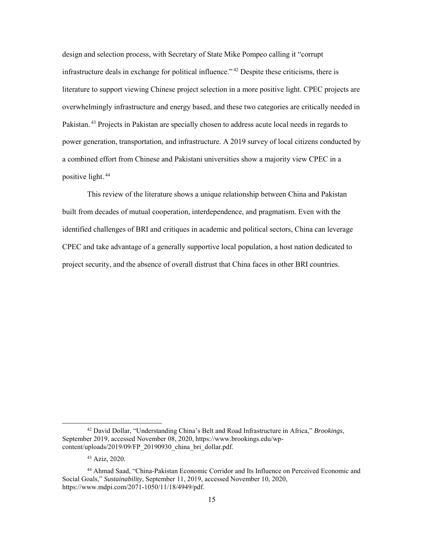design and selection process, with Secretary of State Mike Pompeo calling it "corrupt infrastructure deals in exchange for political influence." $42$  Despite these criticisms, there is literature to support viewing Chinese project selection in a more positive light. CPEC projects are overwhelmingly infrastructure and energy based, and these two categories are critically needed in Pakistan.<sup>43</sup> Projects in Pakistan are specially chosen to address acute local needs in regards to power generation, transportation, and infrastructure. A 2019 survey of local citizens conducted by a combined effort from Chinese and Pakistani universities show a majority view CPEC in a positive light.<sup>44</sup>

 This review of the literature shows a unique relationship between China and Pakistan built from decades of mutual cooperation, interdependence, and pragmatism. Even with the identified challenges of BRI and critiques in academic and political sectors, China can leverage CPEC and take advantage of a generally supportive local population, a host nation dedicated to project security, and the absence of overall distrust that China faces in other BRI countries.

 <sup>42</sup> David Dollar, "Understanding China's Belt and Road Infrastructure in Africa," *Brookings*, September 2019, accessed November 08, 2020[, https://www.brookings.edu/wp](about:blank)[content/uploads/2019/09/FP\\_20190930\\_china\\_bri\\_dollar.pdf.](about:blank)

<sup>43</sup> Aziz, 2020.

<sup>44</sup> Ahmad Saad, "China-Pakistan Economic Corridor and Its Influence on Perceived Economic and Social Goals," *Sustainability,* September 11, 2019, accessed November 10, 2020, https://www.mdpi.com/2071-1050/11/18/4949/pdf.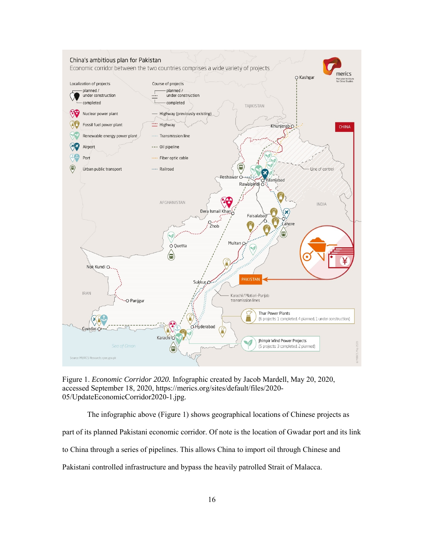

Figure 1. *Economic Corridor 2020.* Infographic created by Jacob Mardell, May 20, 2020, accessed September 18, 2020, https://merics.org/sites/default/files/2020- 05/UpdateEconomicCorridor2020-1.jpg.

The infographic above (Figure 1) shows geographical locations of Chinese projects as part of its planned Pakistani economic corridor. Of note is the location of Gwadar port and its link to China through a series of pipelines. This allows China to import oil through Chinese and Pakistani controlled infrastructure and bypass the heavily patrolled Strait of Malacca.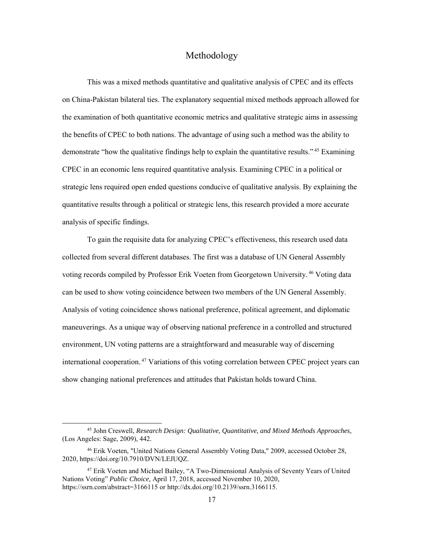## Methodology

This was a mixed methods quantitative and qualitative analysis of CPEC and its effects on China-Pakistan bilateral ties. The explanatory sequential mixed methods approach allowed for the examination of both quantitative economic metrics and qualitative strategic aims in assessing the benefits of CPEC to both nations. The advantage of using such a method was the ability to demonstrate "how the qualitative findings help to explain the quantitative results."<sup>45</sup> Examining CPEC in an economic lens required quantitative analysis. Examining CPEC in a political or strategic lens required open ended questions conducive of qualitative analysis. By explaining the quantitative results through a political or strategic lens, this research provided a more accurate analysis of specific findings.

To gain the requisite data for analyzing CPEC's effectiveness, this research used data collected from several different databases. The first was a database of UN General Assembly voting records compiled by Professor Erik Voeten from Georgetown University.<sup>46</sup> Voting data can be used to show voting coincidence between two members of the UN General Assembly. Analysis of voting coincidence shows national preference, political agreement, and diplomatic maneuverings. As a unique way of observing national preference in a controlled and structured environment, UN voting patterns are a straightforward and measurable way of discerning international cooperation.<sup>47</sup> Variations of this voting correlation between CPEC project years can show changing national preferences and attitudes that Pakistan holds toward China.

 <sup>45</sup> John Creswell, *Research Design: Qualitative, Quantitative, and Mixed Methods Approaches,* (Los Angeles: Sage, 2009), 442.

<sup>46</sup> Erik Voeten, "United Nations General Assembly Voting Data," 2009, accessed October 28, 2020, [https://doi.org/10.7910/DVN/LEJUQZ.](about:blank) 

<sup>47</sup> Erik Voeten and Michael Bailey, "A Two-Dimensional Analysis of Seventy Years of United Nations Voting" *Public Choice,* April 17, 2018, accessed November 10, 2020, https://ssrn.com/abstract=3166115 or http://dx.doi.org/10.2139/ssrn.3166115.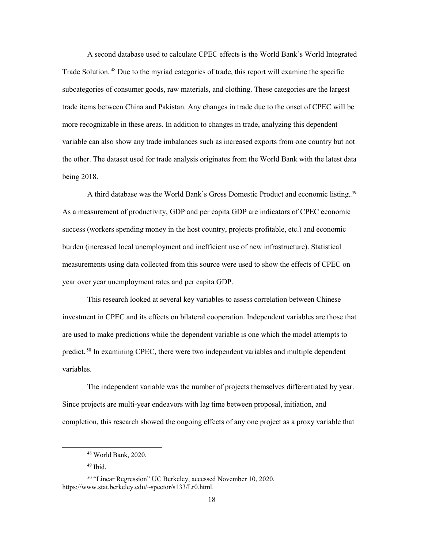A second database used to calculate CPEC effects is the World Bank's World Integrated Trade Solution.<sup>48</sup> Due to the myriad categories of trade, this report will examine the specific subcategories of consumer goods, raw materials, and clothing. These categories are the largest trade items between China and Pakistan. Any changes in trade due to the onset of CPEC will be more recognizable in these areas. In addition to changes in trade, analyzing this dependent variable can also show any trade imbalances such as increased exports from one country but not the other. The dataset used for trade analysis originates from the World Bank with the latest data being 2018.

A third database was the World Bank's Gross Domestic Product and economic listing.<sup>49</sup> As a measurement of productivity, GDP and per capita GDP are indicators of CPEC economic success (workers spending money in the host country, projects profitable, etc.) and economic burden (increased local unemployment and inefficient use of new infrastructure). Statistical measurements using data collected from this source were used to show the effects of CPEC on year over year unemployment rates and per capita GDP.

This research looked at several key variables to assess correlation between Chinese investment in CPEC and its effects on bilateral cooperation. Independent variables are those that are used to make predictions while the dependent variable is one which the model attempts to predict.<sup>50</sup> In examining CPEC, there were two independent variables and multiple dependent variables.

 The independent variable was the number of projects themselves differentiated by year. Since projects are multi-year endeavors with lag time between proposal, initiation, and completion, this research showed the ongoing effects of any one project as a proxy variable that

 <sup>48</sup> World Bank, 2020.

<sup>49</sup> Ibid.

<sup>50</sup> "Linear Regression" UC Berkeley, accessed November 10, 2020, https://www.stat.berkeley.edu/~spector/s133/Lr0.html.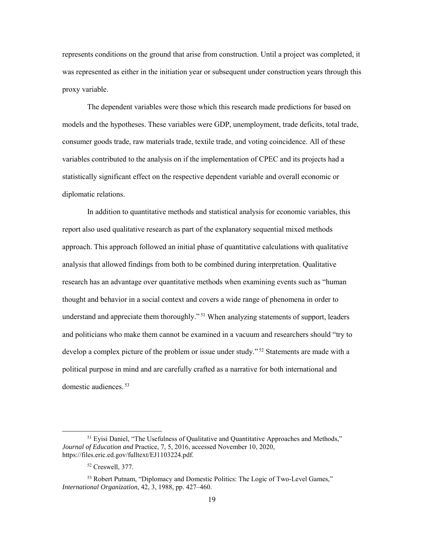represents conditions on the ground that arise from construction. Until a project was completed, it was represented as either in the initiation year or subsequent under construction years through this proxy variable.

The dependent variables were those which this research made predictions for based on models and the hypotheses. These variables were GDP, unemployment, trade deficits, total trade, consumer goods trade, raw materials trade, textile trade, and voting coincidence. All of these variables contributed to the analysis on if the implementation of CPEC and its projects had a statistically significant effect on the respective dependent variable and overall economic or diplomatic relations.

 In addition to quantitative methods and statistical analysis for economic variables, this report also used qualitative research as part of the explanatory sequential mixed methods approach. This approach followed an initial phase of quantitative calculations with qualitative analysis that allowed findings from both to be combined during interpretation. Qualitative research has an advantage over quantitative methods when examining events such as "human thought and behavior in a social context and covers a wide range of phenomena in order to understand and appreciate them thoroughly."<sup>51</sup> When analyzing statements of support, leaders and politicians who make them cannot be examined in a vacuum and researchers should "try to develop a complex picture of the problem or issue under study."<sup>52</sup> Statements are made with a political purpose in mind and are carefully crafted as a narrative for both international and domestic audiences.<sup>53</sup>

<sup>&</sup>lt;sup>51</sup> Eyisi Daniel, "The Usefulness of Qualitative and Quantitative Approaches and Methods," *Journal of Education and* Practice, 7, 5, 2016, accessed November 10, 2020, [https://files.eric.ed.gov/fulltext/EJ1103224.pdf.](about:blank)

<sup>52</sup> Creswell, 377.

<sup>53</sup> Robert Putnam, "Diplomacy and Domestic Politics: The Logic of Two-Level Games," *International Organization*, 42, 3, 1988, pp. 427–460.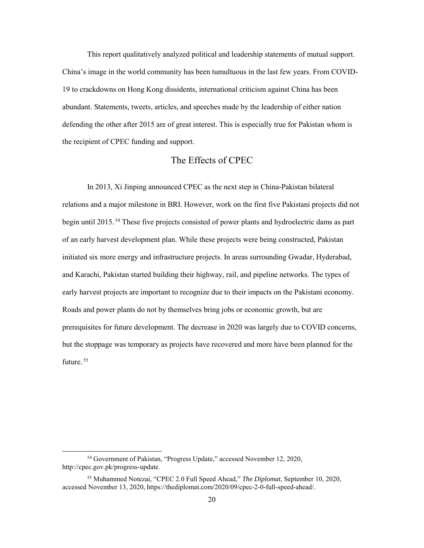This report qualitatively analyzed political and leadership statements of mutual support. China's image in the world community has been tumultuous in the last few years. From COVID-19 to crackdowns on Hong Kong dissidents, international criticism against China has been abundant. Statements, tweets, articles, and speeches made by the leadership of either nation defending the other after 2015 are of great interest. This is especially true for Pakistan whom is the recipient of CPEC funding and support.

## The Effects of CPEC

 In 2013, Xi Jinping announced CPEC as the next step in China-Pakistan bilateral relations and a major milestone in BRI. However, work on the first five Pakistani projects did not begin until 2015.<sup>54</sup> These five projects consisted of power plants and hydroelectric dams as part of an early harvest development plan. While these projects were being constructed, Pakistan initiated six more energy and infrastructure projects. In areas surrounding Gwadar, Hyderabad, and Karachi, Pakistan started building their highway, rail, and pipeline networks. The types of early harvest projects are important to recognize due to their impacts on the Pakistani economy. Roads and power plants do not by themselves bring jobs or economic growth, but are prerequisites for future development. The decrease in 2020 was largely due to COVID concerns, but the stoppage was temporary as projects have recovered and more have been planned for the future.<sup>55</sup>

 <sup>54</sup> Government of Pakistan, "Progress Update," accessed November 12, 2020, [http://cpec.gov.pk/progress-update.](about:blank)

<sup>55</sup> Muhammed Notezai, "CPEC 2.0 Full Speed Ahead," *The Diplomat*, September 10, 2020, accessed November 13, 2020, https://thediplomat.com/2020/09/cpec-2-0-full-speed-ahead/.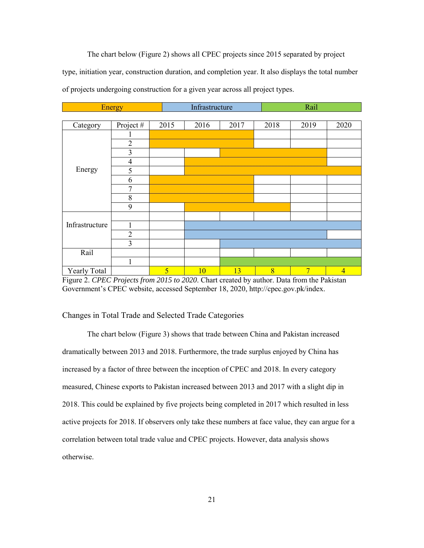The chart below (Figure 2) shows all CPEC projects since 2015 separated by project type, initiation year, construction duration, and completion year. It also displays the total number of projects undergoing construction for a given year across all project types.

|                | <b>Energy</b>  |                | Infrastructure |      | Rail |                |                |
|----------------|----------------|----------------|----------------|------|------|----------------|----------------|
|                |                |                |                |      |      |                |                |
| Category       | Project#       | 2015           | 2016           | 2017 | 2018 | 2019           | 2020           |
|                |                |                |                |      |      |                |                |
|                | $\overline{2}$ |                |                |      |      |                |                |
|                | 3              |                |                |      |      |                |                |
|                | $\overline{4}$ |                |                |      |      |                |                |
| Energy         | 5              |                |                |      |      |                |                |
|                | 6              |                |                |      |      |                |                |
|                | $\overline{7}$ |                |                |      |      |                |                |
|                | $\,8\,$        |                |                |      |      |                |                |
|                | 9              |                |                |      |      |                |                |
|                |                |                |                |      |      |                |                |
| Infrastructure | $\mathbf{1}$   |                |                |      |      |                |                |
|                | $\overline{2}$ |                |                |      |      |                |                |
|                | 3              |                |                |      |      |                |                |
| Rail           |                |                |                |      |      |                |                |
|                | $\mathbf{1}$   |                |                |      |      |                |                |
| Yearly Total   |                | $\overline{5}$ | 10             | 13   | 8    | $\overline{7}$ | $\overline{4}$ |

<span id="page-28-0"></span>Figure 2. *CPEC Projects from 2015 to 2020*. Chart created by author. Data from the Pakistan Government's CPEC website, accessed September 18, 2020, http://cpec.gov.pk/index.

### Changes in Total Trade and Selected Trade Categories

 The chart below (Figure 3) shows that trade between China and Pakistan increased dramatically between 2013 and 2018. Furthermore, the trade surplus enjoyed by China has increased by a factor of three between the inception of CPEC and 2018. In every category measured, Chinese exports to Pakistan increased between 2013 and 2017 with a slight dip in 2018. This could be explained by five projects being completed in 2017 which resulted in less active projects for 2018. If observers only take these numbers at face value, they can argue for a correlation between total trade value and CPEC projects. However, data analysis shows otherwise.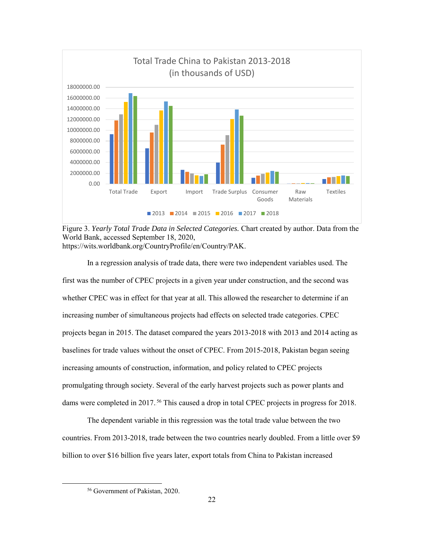

Figure 3. *Yearly Total Trade Data in Selected Categories.* Chart created by author. Data from the World Bank, accessed September 18, 2020, [https://wits.worldbank.org/CountryProfile/en/Country/PAK.](about:blank)

In a regression analysis of trade data, there were two independent variables used. The first was the number of CPEC projects in a given year under construction, and the second was whether CPEC was in effect for that year at all. This allowed the researcher to determine if an increasing number of simultaneous projects had effects on selected trade categories. CPEC projects began in 2015. The dataset compared the years 2013-2018 with 2013 and 2014 acting as baselines for trade values without the onset of CPEC. From 2015-2018, Pakistan began seeing increasing amounts of construction, information, and policy related to CPEC projects promulgating through society. Several of the early harvest projects such as power plants and dams were completed in 2017.<sup>56</sup> This caused a drop in total CPEC projects in progress for 2018.

 The dependent variable in this regression was the total trade value between the two countries. From 2013-2018, trade between the two countries nearly doubled. From a little over \$9 billion to over \$16 billion five years later, export totals from China to Pakistan increased

 <sup>56</sup> Government of Pakistan, 2020.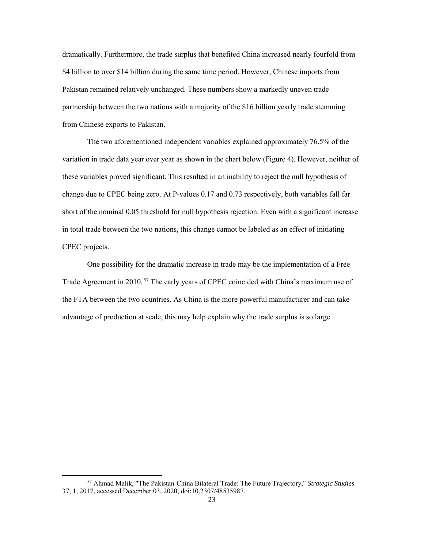dramatically. Furthermore, the trade surplus that benefited China increased nearly fourfold from \$4 billion to over \$14 billion during the same time period. However, Chinese imports from Pakistan remained relatively unchanged. These numbers show a markedly uneven trade partnership between the two nations with a majority of the \$16 billion yearly trade stemming from Chinese exports to Pakistan.

The two aforementioned independent variables explained approximately 76.5% of the variation in trade data year over year as shown in the chart below (Figure 4). However, neither of these variables proved significant. This resulted in an inability to reject the null hypothesis of change due to CPEC being zero. At P-values 0.17 and 0.73 respectively, both variables fall far short of the nominal 0.05 threshold for null hypothesis rejection. Even with a significant increase in total trade between the two nations, this change cannot be labeled as an effect of initiating CPEC projects.

One possibility for the dramatic increase in trade may be the implementation of a Free Trade Agreement in 2010.<sup>57</sup> The early years of CPEC coincided with China's maximum use of the FTA between the two countries. As China is the more powerful manufacturer and can take advantage of production at scale, this may help explain why the trade surplus is so large.

 <sup>57</sup> Ahmad Malik, "The Pakistan-China Bilateral Trade: The Future Trajectory," *Strategic Studies* 37, 1, 2017, accessed December 03, 2020, doi:10.2307/48535987.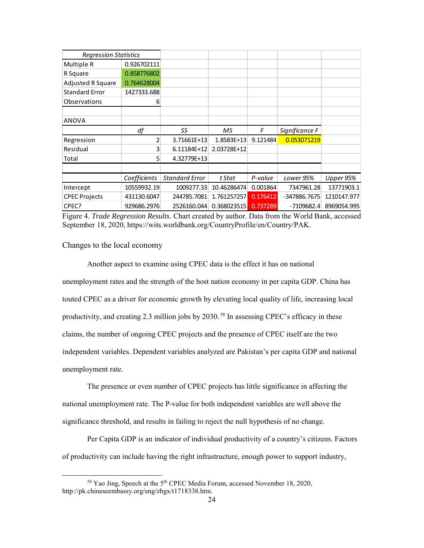| <b>Regression Statistics</b> |              |                       |             |          |                |             |
|------------------------------|--------------|-----------------------|-------------|----------|----------------|-------------|
| Multiple R                   | 0.926702111  |                       |             |          |                |             |
| R Square                     | 0.858776802  |                       |             |          |                |             |
| Adjusted R Square            | 0.764628004  |                       |             |          |                |             |
| <b>Standard Error</b>        | 1427333.688  |                       |             |          |                |             |
| Observations                 | 6            |                       |             |          |                |             |
|                              |              |                       |             |          |                |             |
| <b>ANOVA</b>                 |              |                       |             |          |                |             |
|                              | df           | SS                    | МS          | F        | Significance F |             |
| Regression                   | 2            | 3.71661E+13           | 1.8583E+13  | 9.121484 | 0.053071219    |             |
| Residual                     | 3            | 6.11184E+12           | 2.03728E+12 |          |                |             |
| Total                        | 5            | 4.32779E+13           |             |          |                |             |
|                              |              |                       |             |          |                |             |
|                              | Coefficients | <b>Standard Error</b> | t Stat      | P-value  | Lower 95%      | Upper 95%   |
| Intercept                    | 10559932.19  | 1009277.33            | 10.46286474 | 0.001864 | 7347961.28     | 13771903.1  |
| <b>CPEC Projects</b>         | 431130.6047  | 244785.7081           | 1.761257257 | 0.176412 | -347886.7675   | 1210147.977 |
| CPEC?                        | 929686.2976  | 2526160.044           | 0.368023515 | 0.737289 | $-7109682.4$   | 8969054.995 |

Figure 4. *Trade Regression Results*. Chart created by author. Data from the World Bank, accessed September 18, 2020, [https://wits.worldbank.org/CountryProfile/en/Country/PAK.](about:blank)

Changes to the local economy

Another aspect to examine using CPEC data is the effect it has on national unemployment rates and the strength of the host nation economy in per capita GDP. China has touted CPEC as a driver for economic growth by elevating local quality of life, increasing local productivity, and creating 2.3 million jobs by 2030.<sup>58</sup> In assessing CPEC's efficacy in these claims, the number of ongoing CPEC projects and the presence of CPEC itself are the two independent variables. Dependent variables analyzed are Pakistan's per capita GDP and national unemployment rate.

 The presence or even number of CPEC projects has little significance in affecting the national unemployment rate. The P-value for both independent variables are well above the significance threshold, and results in failing to reject the null hypothesis of no change.

 Per Capita GDP is an indicator of individual productivity of a country's citizens. Factors of productivity can include having the right infrastructure, enough power to support industry,

<sup>&</sup>lt;sup>58</sup> Yao Jing, Speech at the 5<sup>th</sup> CPEC Media Forum, accessed November 18, 2020, http://pk.chineseembassy.org/eng/zbgx/t1718338.htm.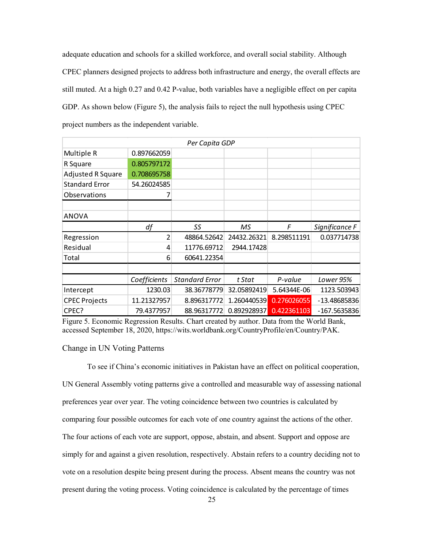adequate education and schools for a skilled workforce, and overall social stability. Although CPEC planners designed projects to address both infrastructure and energy, the overall effects are still muted. At a high 0.27 and 0.42 P-value, both variables have a negligible effect on per capita GDP. As shown below (Figure 5), the analysis fails to reject the null hypothesis using CPEC project numbers as the independent variable.

| Per Capita GDP           |              |                       |             |             |                |  |  |
|--------------------------|--------------|-----------------------|-------------|-------------|----------------|--|--|
| Multiple R               | 0.897662059  |                       |             |             |                |  |  |
| R Square                 | 0.805797172  |                       |             |             |                |  |  |
| <b>Adjusted R Square</b> | 0.708695758  |                       |             |             |                |  |  |
| <b>Standard Error</b>    | 54.26024585  |                       |             |             |                |  |  |
| Observations             |              |                       |             |             |                |  |  |
|                          |              |                       |             |             |                |  |  |
| <b>ANOVA</b>             |              |                       |             |             |                |  |  |
|                          | df           | SS                    | МS          | F           | Significance F |  |  |
| Regression               | 2            | 48864.52642           | 24432.26321 | 8.298511191 | 0.037714738    |  |  |
| Residual                 | 4            | 11776.69712           | 2944.17428  |             |                |  |  |
| Total                    | 6            | 60641.22354           |             |             |                |  |  |
|                          |              |                       |             |             |                |  |  |
|                          | Coefficients | <b>Standard Error</b> | t Stat      | P-value     | Lower 95%      |  |  |
| Intercept                | 1230.03      | 38.36778779           | 32.05892419 | 5.64344E-06 | 1123.503943    |  |  |
| <b>CPEC Projects</b>     | 11.21327957  | 8.896317772           | 1.260440539 | 0.276026055 | $-13.48685836$ |  |  |
| CPEC?                    | 79.4377957   | 88.96317772           | 0.892928937 | 0.422361103 | $-167.5635836$ |  |  |

Figure 5. Economic Regression Results. Chart created by author. Data from the World Bank, accessed September 18, 2020, [https://wits.worldbank.org/CountryProfile/en/Country/PAK.](about:blank)

#### Change in UN Voting Patterns

 To see if China's economic initiatives in Pakistan have an effect on political cooperation, UN General Assembly voting patterns give a controlled and measurable way of assessing national preferences year over year. The voting coincidence between two countries is calculated by comparing four possible outcomes for each vote of one country against the actions of the other. The four actions of each vote are support, oppose, abstain, and absent. Support and oppose are simply for and against a given resolution, respectively. Abstain refers to a country deciding not to vote on a resolution despite being present during the process. Absent means the country was not present during the voting process. Voting coincidence is calculated by the percentage of times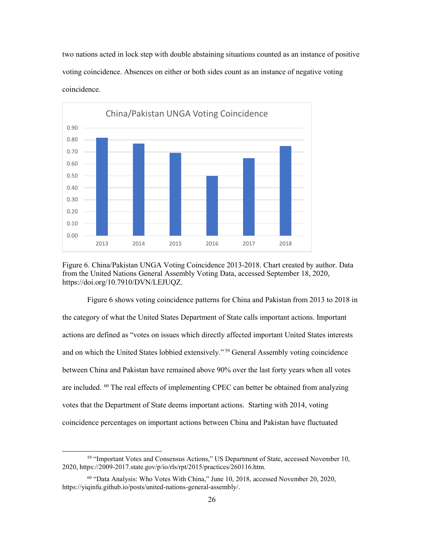two nations acted in lock step with double abstaining situations counted as an instance of positive voting coincidence. Absences on either or both sides count as an instance of negative voting coincidence.



Figure 6. China/Pakistan UNGA Voting Coincidence 2013-2018. Chart created by author. Data from the United Nations General Assembly Voting Data, accessed September 18, 2020, https://doi.org/10.7910/DVN/LEJUQZ.

Figure 6 shows voting coincidence patterns for China and Pakistan from 2013 to 2018 in the category of what the United States Department of State calls important actions. Important actions are defined as "votes on issues which directly affected important United States interests and on which the United States lobbied extensively."<sup>59</sup> General Assembly voting coincidence between China and Pakistan have remained above 90% over the last forty years when all votes are included. <sup>60</sup> The real effects of implementing CPEC can better be obtained from analyzing votes that the Department of State deems important actions. Starting with 2014, voting coincidence percentages on important actions between China and Pakistan have fluctuated

 <sup>59</sup> "Important Votes and Consensus Actions," US Department of State, accessed November 10, 2020, [https://2009-2017.state.gov/p/io/rls/rpt/2015/practices/260116.htm.](about:blank) 

<sup>60</sup> "Data Analysis: Who Votes With China," June 10, 2018, accessed November 20, 2020, https://yiqinfu.github.io/posts/united-nations-general-assembly/.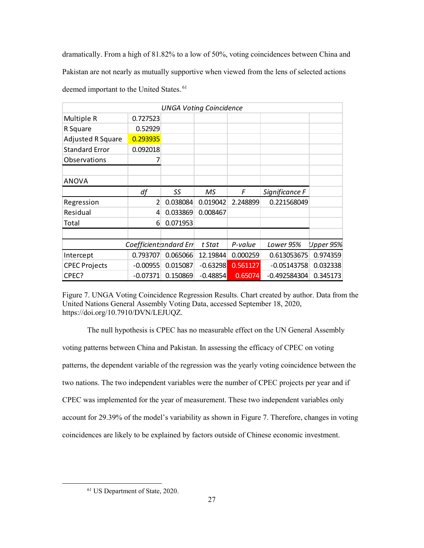dramatically. From a high of 81.82% to a low of 50%, voting coincidences between China and Pakistan are not nearly as mutually supportive when viewed from the lens of selected actions deemed important to the United States.<sup>61</sup>

| <b>UNGA Voting Coincidence</b> |            |          |            |           |                |          |  |  |
|--------------------------------|------------|----------|------------|-----------|----------------|----------|--|--|
| Multiple R                     | 0.727523   |          |            |           |                |          |  |  |
| R Square                       | 0.52929    |          |            |           |                |          |  |  |
| <b>Adjusted R Square</b>       | 0.293935   |          |            |           |                |          |  |  |
| <b>Standard Error</b>          | 0.092018   |          |            |           |                |          |  |  |
| Observations                   |            |          |            |           |                |          |  |  |
|                                |            |          |            |           |                |          |  |  |
| <b>ANOVA</b>                   |            |          |            |           |                |          |  |  |
|                                | df         | SS       | МS         | F         | Significance F |          |  |  |
| Regression                     | 2          | 0.038084 | 0.019042   | 2.248899  | 0.221568049    |          |  |  |
| Residual                       | 4          | 0.033869 | 0.008467   |           |                |          |  |  |
| Total                          | 6          | 0.071953 |            |           |                |          |  |  |
|                                |            |          |            |           |                |          |  |  |
| Coefficientsandard Err         |            | t Stat   | P-value    | Lower 95% | Upper 95%      |          |  |  |
| Intercept                      | 0.793707   | 0.065066 | 12.19844   | 0.000259  | 0.613053675    | 0.974359 |  |  |
| <b>CPEC Projects</b>           | $-0.00955$ | 0.015087 | $-0.63298$ | 0.561127  | $-0.05143758$  | 0.032338 |  |  |
| CPEC?                          | $-0.07371$ | 0.150869 | $-0.48854$ | 0.65074   | $-0.492584304$ | 0.345173 |  |  |

Figure 7. UNGA Voting Coincidence Regression Results. Chart created by author. Data from the United Nations General Assembly Voting Data, accessed September 18, 2020, [https://doi.org/10.7910/DVN/LEJUQZ.](about:blank)

The null hypothesis is CPEC has no measurable effect on the UN General Assembly voting patterns between China and Pakistan. In assessing the efficacy of CPEC on voting patterns, the dependent variable of the regression was the yearly voting coincidence between the two nations. The two independent variables were the number of CPEC projects per year and if CPEC was implemented for the year of measurement. These two independent variables only account for 29.39% of the model's variability as shown in Figure 7. Therefore, changes in voting coincidences are likely to be explained by factors outside of Chinese economic investment.

 <sup>61</sup> US Department of State, 2020.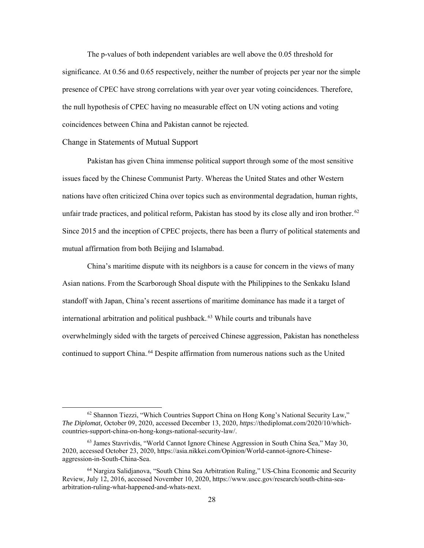The p-values of both independent variables are well above the 0.05 threshold for significance. At 0.56 and 0.65 respectively, neither the number of projects per year nor the simple presence of CPEC have strong correlations with year over year voting coincidences. Therefore, the null hypothesis of CPEC having no measurable effect on UN voting actions and voting coincidences between China and Pakistan cannot be rejected.

#### Change in Statements of Mutual Support

Pakistan has given China immense political support through some of the most sensitive issues faced by the Chinese Communist Party. Whereas the United States and other Western nations have often criticized China over topics such as environmental degradation, human rights, unfair trade practices, and political reform, Pakistan has stood by its close ally and iron brother.<sup>62</sup> Since 2015 and the inception of CPEC projects, there has been a flurry of political statements and mutual affirmation from both Beijing and Islamabad.

China's maritime dispute with its neighbors is a cause for concern in the views of many Asian nations. From the Scarborough Shoal dispute with the Philippines to the Senkaku Island standoff with Japan, China's recent assertions of maritime dominance has made it a target of international arbitration and political pushback.<sup>63</sup> While courts and tribunals have overwhelmingly sided with the targets of perceived Chinese aggression, Pakistan has nonetheless continued to support China.<sup>64</sup> Despite affirmation from numerous nations such as the United

 $62$  Shannon Tiezzi, "Which Countries Support China on Hong Kong's National Security Law," *The Diplomat,* October 09, 2020, accessed December 13, 2020, *https*[://thediplomat.com/2020/10/which](https://thediplomat.com/2020/10/which-countries-support-china-on-hong-kongs-national-security-law/)[countries-support-china-on-hong-kongs-national-security-law/.](https://thediplomat.com/2020/10/which-countries-support-china-on-hong-kongs-national-security-law/)

<sup>63</sup> James Stavrivdis, "World Cannot Ignore Chinese Aggression in South China Sea," May 30, 2020, accessed October 23, 2020, [https://asia.nikkei.com/Opinion/World-cannot-ignore-Chinese](https://asia.nikkei.com/Opinion/World-cannot-ignore-Chinese-aggression-in-South-China-Sea)[aggression-in-South-China-Sea.](https://asia.nikkei.com/Opinion/World-cannot-ignore-Chinese-aggression-in-South-China-Sea)

<sup>64</sup> Nargiza Salidjanova, "South China Sea Arbitration Ruling," US-China Economic and Security Review, July 12, 2016, accessed November 10, 2020, [https://www.uscc.gov/research/south-china-sea](https://www.uscc.gov/research/south-china-sea-arbitration-ruling-what-happened-and-whats-next)[arbitration-ruling-what-happened-and-whats-next.](https://www.uscc.gov/research/south-china-sea-arbitration-ruling-what-happened-and-whats-next)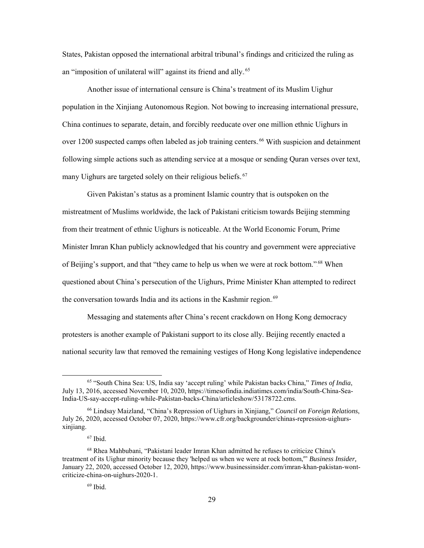States, Pakistan opposed the international arbitral tribunal's findings and criticized the ruling as an "imposition of unilateral will" against its friend and ally.<sup>65</sup>

Another issue of international censure is China's treatment of its Muslim Uighur population in the Xinjiang Autonomous Region. Not bowing to increasing international pressure, China continues to separate, detain, and forcibly reeducate over one million ethnic Uighurs in over 1200 suspected camps often labeled as job training centers.<sup>66</sup> With suspicion and detainment following simple actions such as attending service at a mosque or sending Quran verses over text, many Uighurs are targeted solely on their religious beliefs.<sup>67</sup>

Given Pakistan's status as a prominent Islamic country that is outspoken on the mistreatment of Muslims worldwide, the lack of Pakistani criticism towards Beijing stemming from their treatment of ethnic Uighurs is noticeable. At the World Economic Forum, Prime Minister Imran Khan publicly acknowledged that his country and government were appreciative of Beijing's support, and that "they came to help us when we were at rock bottom."<sup>68</sup> When questioned about China's persecution of the Uighurs, Prime Minister Khan attempted to redirect the conversation towards India and its actions in the Kashmir region.<sup>69</sup>

Messaging and statements after China's recent crackdown on Hong Kong democracy protesters is another example of Pakistani support to its close ally. Beijing recently enacted a national security law that removed the remaining vestiges of Hong Kong legislative independence

 <sup>65</sup> "South China Sea: US, India say 'accept ruling' while Pakistan backs China," *Times of India*, July 13, 2016, accessed November 10, 2020, https://timesofindia.indiatimes.com/india/South-China-Sea-India-US-say-accept-ruling-while-Pakistan-backs-China/articleshow/53178722.cms.

<sup>66</sup> Lindsay Maizland, "China's Repression of Uighurs in Xinjiang," *Council on Foreign Relations*, July 26, 2020, accessed October 07, 2020, [https://www.cfr.org/backgrounder/chinas-repression-uighurs](https://www.cfr.org/backgrounder/chinas-repression-uighurs-xinjiang)[xinjiang.](https://www.cfr.org/backgrounder/chinas-repression-uighurs-xinjiang)

 $67$  Ibid.

<sup>68</sup> Rhea Mahbubani, "Pakistani leader Imran Khan admitted he refuses to criticize China's treatment of its Uighur minority because they 'helped us when we were at rock bottom,'" *Business Insider,* January 22, 2020, accessed October 12, 2020, https://www.businessinsider.com/imran-khan-pakistan-wontcriticize-china-on-uighurs-2020-1.

 $69$  Ibid.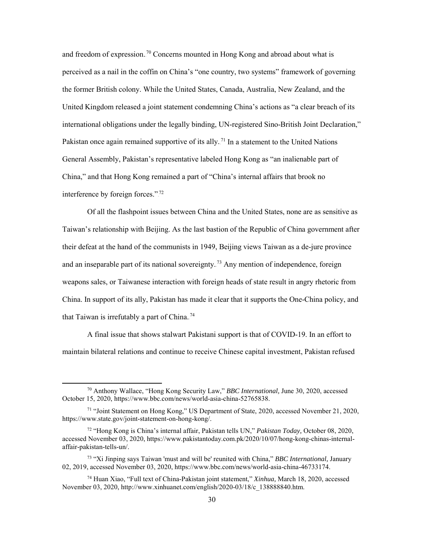and freedom of expression.<sup>70</sup> Concerns mounted in Hong Kong and abroad about what is perceived as a nail in the coffin on China's "one country, two systems" framework of governing the former British colony. While the United States, Canada, Australia, New Zealand, and the United Kingdom released a joint statement condemning China's actions as "a clear breach of its international obligations under the legally binding, UN-registered Sino-British Joint Declaration," Pakistan once again remained supportive of its ally.<sup>71</sup> In a statement to the United Nations General Assembly, Pakistan's representative labeled Hong Kong as "an inalienable part of China," and that Hong Kong remained a part of "China's internal affairs that brook no interference by foreign forces.".<sup>72</sup>

Of all the flashpoint issues between China and the United States, none are as sensitive as Taiwan's relationship with Beijing. As the last bastion of the Republic of China government after their defeat at the hand of the communists in 1949, Beijing views Taiwan as a de-jure province and an inseparable part of its national sovereignty.<sup>73</sup> Any mention of independence, foreign weapons sales, or Taiwanese interaction with foreign heads of state result in angry rhetoric from China. In support of its ally, Pakistan has made it clear that it supports the One-China policy, and that Taiwan is irrefutably a part of China.<sup>74</sup>

A final issue that shows stalwart Pakistani support is that of COVID-19. In an effort to maintain bilateral relations and continue to receive Chinese capital investment, Pakistan refused

 <sup>70</sup> Anthony Wallace, "Hong Kong Security Law," *BBC International,* June 30, 2020, accessed October 15, 2020, https://www.bbc.com/news/world-asia-china-52765838.

 $71$  "Joint Statement on Hong Kong," US Department of State, 2020, accessed November 21, 2020, https://www.state.gov/joint-statement-on-hong-kong/.

<sup>72</sup> "Hong Kong is China's internal affair, Pakistan tells UN," *Pakistan Today,* October 08, 2020, accessed November 03, 2020, https://www.pakistantoday.com.pk/2020/10/07/hong-kong-chinas-internalaffair-pakistan-tells-un/.

<sup>73 &</sup>quot;Xi Jinping says Taiwan 'must and will be' reunited with China," *BBC International,* January 02, 2019, accessed November 03, 2020, https://www.bbc.com/news/world-asia-china-46733174.

<sup>74</sup> Huan Xiao, "Full text of China-Pakistan joint statement," *Xinhua,* March 18, 2020, accessed November 03, 2020, http://www.xinhuanet.com/english/2020-03/18/c\_138888840.htm.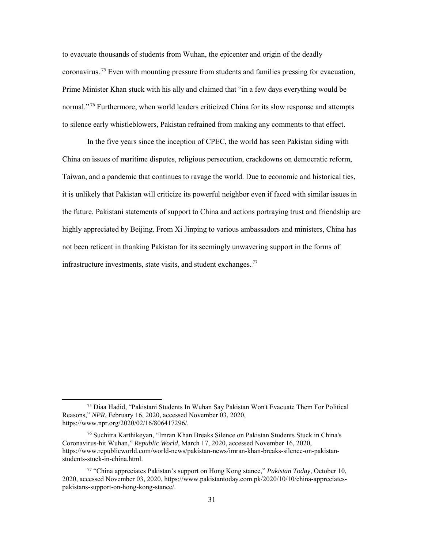to evacuate thousands of students from Wuhan, the epicenter and origin of the deadly coronavirus.<sup>75</sup> Even with mounting pressure from students and families pressing for evacuation, Prime Minister Khan stuck with his ally and claimed that "in a few days everything would be normal."<sup>76</sup> Furthermore, when world leaders criticized China for its slow response and attempts to silence early whistleblowers, Pakistan refrained from making any comments to that effect.

In the five years since the inception of CPEC, the world has seen Pakistan siding with China on issues of maritime disputes, religious persecution, crackdowns on democratic reform, Taiwan, and a pandemic that continues to ravage the world. Due to economic and historical ties, it is unlikely that Pakistan will criticize its powerful neighbor even if faced with similar issues in the future. Pakistani statements of support to China and actions portraying trust and friendship are highly appreciated by Beijing. From Xi Jinping to various ambassadors and ministers, China has not been reticent in thanking Pakistan for its seemingly unwavering support in the forms of infrastructure investments, state visits, and student exchanges. $^{77}$ 

 <sup>75</sup> Diaa Hadid, "Pakistani Students In Wuhan Say Pakistan Won't Evacuate Them For Political Reasons," *NPR*, February 16, 2020, accessed November 03, 2020, https://www.npr.org/2020/02/16/806417296/.

 $76$  Suchitra Karthikeyan, "Imran Khan Breaks Silence on Pakistan Students Stuck in China's Coronavirus-hit Wuhan," *Republic World*, March 17, 2020, accessed November 16, 2020, https://www.republicworld.com/world-news/pakistan-news/imran-khan-breaks-silence-on-pakistanstudents-stuck-in-china.html.

<sup>77 &</sup>quot;China appreciates Pakistan's support on Hong Kong stance," *Pakistan Today,* October 10, 2020, accessed November 03, 2020, https://www.pakistantoday.com.pk/2020/10/10/china-appreciatespakistans-support-on-hong-kong-stance/.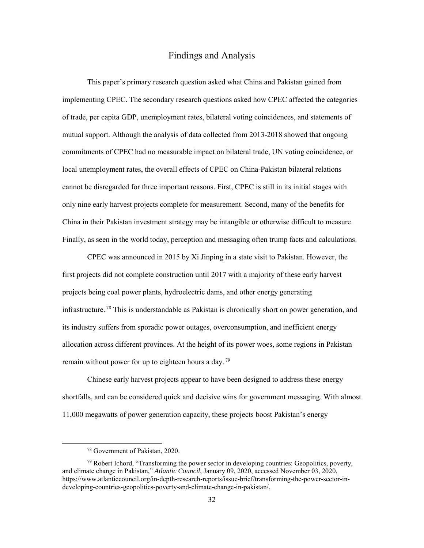## Findings and Analysis

This paper's primary research question asked what China and Pakistan gained from implementing CPEC. The secondary research questions asked how CPEC affected the categories of trade, per capita GDP, unemployment rates, bilateral voting coincidences, and statements of mutual support. Although the analysis of data collected from 2013-2018 showed that ongoing commitments of CPEC had no measurable impact on bilateral trade, UN voting coincidence, or local unemployment rates, the overall effects of CPEC on China-Pakistan bilateral relations cannot be disregarded for three important reasons. First, CPEC is still in its initial stages with only nine early harvest projects complete for measurement. Second, many of the benefits for China in their Pakistan investment strategy may be intangible or otherwise difficult to measure. Finally, as seen in the world today, perception and messaging often trump facts and calculations.

 CPEC was announced in 2015 by Xi Jinping in a state visit to Pakistan. However, the first projects did not complete construction until 2017 with a majority of these early harvest projects being coal power plants, hydroelectric dams, and other energy generating infrastructure.<sup>78</sup> This is understandable as Pakistan is chronically short on power generation, and its industry suffers from sporadic power outages, overconsumption, and inefficient energy allocation across different provinces. At the height of its power woes, some regions in Pakistan remain without power for up to eighteen hours a day.<sup>79</sup>

Chinese early harvest projects appear to have been designed to address these energy shortfalls, and can be considered quick and decisive wins for government messaging. With almost 11,000 megawatts of power generation capacity, these projects boost Pakistan's energy

 <sup>78</sup> Government of Pakistan, 2020.

 $79$  Robert Ichord, "Transforming the power sector in developing countries: Geopolitics, poverty, and climate change in Pakistan," *Atlantic Council*, January 09, 2020, accessed November 03, 2020, https://www.atlanticcouncil.org/in-depth-research-reports/issue-brief/transforming-the-power-sector-indeveloping-countries-geopolitics-poverty-and-climate-change-in-pakistan/.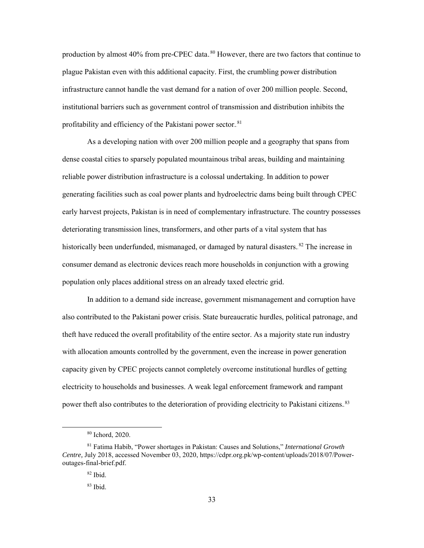production by almost 40% from pre-CPEC data..<sup>80</sup> However, there are two factors that continue to plague Pakistan even with this additional capacity. First, the crumbling power distribution infrastructure cannot handle the vast demand for a nation of over 200 million people. Second, institutional barriers such as government control of transmission and distribution inhibits the profitability and efficiency of the Pakistani power sector.<sup>81</sup>

As a developing nation with over 200 million people and a geography that spans from dense coastal cities to sparsely populated mountainous tribal areas, building and maintaining reliable power distribution infrastructure is a colossal undertaking. In addition to power generating facilities such as coal power plants and hydroelectric dams being built through CPEC early harvest projects, Pakistan is in need of complementary infrastructure. The country possesses deteriorating transmission lines, transformers, and other parts of a vital system that has historically been underfunded, mismanaged, or damaged by natural disasters.<sup>82</sup> The increase in consumer demand as electronic devices reach more households in conjunction with a growing population only places additional stress on an already taxed electric grid.

 In addition to a demand side increase, government mismanagement and corruption have also contributed to the Pakistani power crisis. State bureaucratic hurdles, political patronage, and theft have reduced the overall profitability of the entire sector. As a majority state run industry with allocation amounts controlled by the government, even the increase in power generation capacity given by CPEC projects cannot completely overcome institutional hurdles of getting electricity to households and businesses. A weak legal enforcement framework and rampant power theft also contributes to the deterioration of providing electricity to Pakistani citizens.<sup>83</sup>

 <sup>80</sup> Ichord, 2020.

<sup>81</sup> Fatima Habib, "Power shortages in Pakistan: Causes and Solutions," *International Growth Centre,* July 2018, accessed November 03, 2020, https://cdpr.org.pk/wp-content/uploads/2018/07/Poweroutages-final-brief.pdf.

<sup>82</sup> Ibid.

 $83$  Ibid.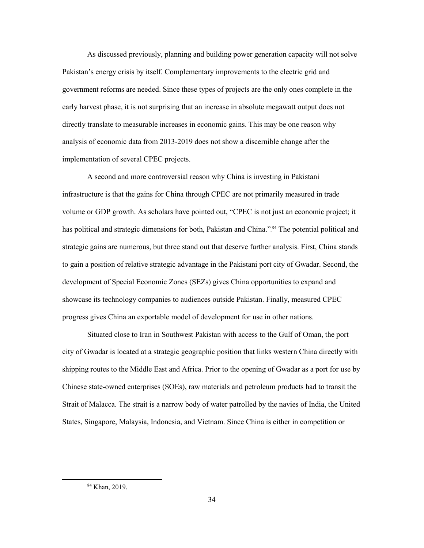As discussed previously, planning and building power generation capacity will not solve Pakistan's energy crisis by itself. Complementary improvements to the electric grid and government reforms are needed. Since these types of projects are the only ones complete in the early harvest phase, it is not surprising that an increase in absolute megawatt output does not directly translate to measurable increases in economic gains. This may be one reason why analysis of economic data from 2013-2019 does not show a discernible change after the implementation of several CPEC projects.

A second and more controversial reason why China is investing in Pakistani infrastructure is that the gains for China through CPEC are not primarily measured in trade volume or GDP growth. As scholars have pointed out, "CPEC is not just an economic project; it has political and strategic dimensions for both, Pakistan and China."<sup>84</sup> The potential political and strategic gains are numerous, but three stand out that deserve further analysis. First, China stands to gain a position of relative strategic advantage in the Pakistani port city of Gwadar. Second, the development of Special Economic Zones (SEZs) gives China opportunities to expand and showcase its technology companies to audiences outside Pakistan. Finally, measured CPEC progress gives China an exportable model of development for use in other nations.

Situated close to Iran in Southwest Pakistan with access to the Gulf of Oman, the port city of Gwadar is located at a strategic geographic position that links western China directly with shipping routes to the Middle East and Africa. Prior to the opening of Gwadar as a port for use by Chinese state-owned enterprises (SOEs), raw materials and petroleum products had to transit the Strait of Malacca. The strait is a narrow body of water patrolled by the navies of India, the United States, Singapore, Malaysia, Indonesia, and Vietnam. Since China is either in competition or

 <sup>84</sup> Khan, 2019.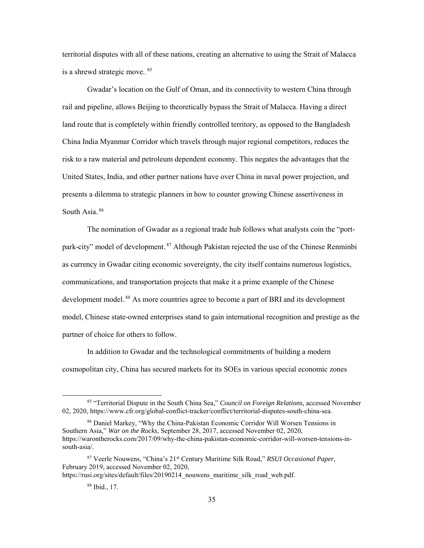territorial disputes with all of these nations, creating an alternative to using the Strait of Malacca is a shrewd strategic move. 85

 Gwadar's location on the Gulf of Oman, and its connectivity to western China through rail and pipeline, allows Beijing to theoretically bypass the Strait of Malacca. Having a direct land route that is completely within friendly controlled territory, as opposed to the Bangladesh China India Myanmar Corridor which travels through major regional competitors, reduces the risk to a raw material and petroleum dependent economy. This negates the advantages that the United States, India, and other partner nations have over China in naval power projection, and presents a dilemma to strategic planners in how to counter growing Chinese assertiveness in South Asia.<sup>86</sup>

The nomination of Gwadar as a regional trade hub follows what analysts coin the "portpark-city" model of development.<sup>87</sup> Although Pakistan rejected the use of the Chinese Renminbi as currency in Gwadar citing economic sovereignty, the city itself contains numerous logistics, communications, and transportation projects that make it a prime example of the Chinese development model.<sup>88</sup> As more countries agree to become a part of BRI and its development model, Chinese state-owned enterprises stand to gain international recognition and prestige as the partner of choice for others to follow.

 In addition to Gwadar and the technological commitments of building a modern cosmopolitan city, China has secured markets for its SOEs in various special economic zones

 <sup>85</sup> "Territorial Dispute in the South China Sea," *Council on Foreign Relations,* accessed November 02, 2020, https://www.cfr.org/global-conflict-tracker/conflict/territorial-disputes-south-china-sea.

<sup>86</sup> Daniel Markey, "Why the China-Pakistan Economic Corridor Will Worsen Tensions in Southern Asia," *War on the Rocks*, September 28, 2017, accessed November 02, 2020, https://warontherocks.com/2017/09/why-the-china-pakistan-economic-corridor-will-worsen-tensions-insouth-asia/.

<sup>87</sup> Veerle Nouwens, "China's 21st Century Maritime Silk Road," *RSUI Occasional Paper*, February 2019, accessed November 02, 2020,

https://rusi.org/sites/default/files/20190214\_nouwens\_maritime\_silk\_road\_web.pdf.

<sup>88</sup> Ibid., 17.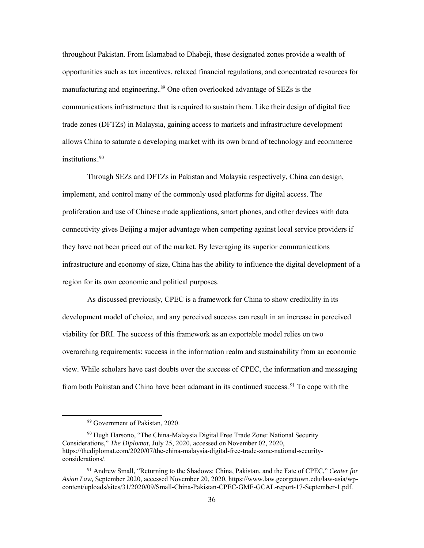throughout Pakistan. From Islamabad to Dhabeji, these designated zones provide a wealth of opportunities such as tax incentives, relaxed financial regulations, and concentrated resources for manufacturing and engineering.<sup>89</sup> One often overlooked advantage of SEZs is the communications infrastructure that is required to sustain them. Like their design of digital free trade zones (DFTZs) in Malaysia, gaining access to markets and infrastructure development allows China to saturate a developing market with its own brand of technology and ecommerce institutions.<sup>90</sup>

Through SEZs and DFTZs in Pakistan and Malaysia respectively, China can design, implement, and control many of the commonly used platforms for digital access. The proliferation and use of Chinese made applications, smart phones, and other devices with data connectivity gives Beijing a major advantage when competing against local service providers if they have not been priced out of the market. By leveraging its superior communications infrastructure and economy of size, China has the ability to influence the digital development of a region for its own economic and political purposes.

 As discussed previously, CPEC is a framework for China to show credibility in its development model of choice, and any perceived success can result in an increase in perceived viability for BRI. The success of this framework as an exportable model relies on two overarching requirements: success in the information realm and sustainability from an economic view. While scholars have cast doubts over the success of CPEC, the information and messaging from both Pakistan and China have been adamant in its continued success.<sup>91</sup> To cope with the

 <sup>89</sup> Government of Pakistan, 2020.

<sup>&</sup>lt;sup>90</sup> Hugh Harsono, "The China-Malaysia Digital Free Trade Zone: National Security Considerations," *The Diplomat*, July 25, 2020, accessed on November 02, 2020, https://thediplomat.com/2020/07/the-china-malaysia-digital-free-trade-zone-national-securityconsiderations/.

<sup>91</sup> Andrew Small, "Returning to the Shadows: China, Pakistan, and the Fate of CPEC," *Center for Asian Law,* September 2020, accessed November 20, 2020, https://www.law.georgetown.edu/law-asia/wpcontent/uploads/sites/31/2020/09/Small-China-Pakistan-CPEC-GMF-GCAL-report-17-September-1.pdf.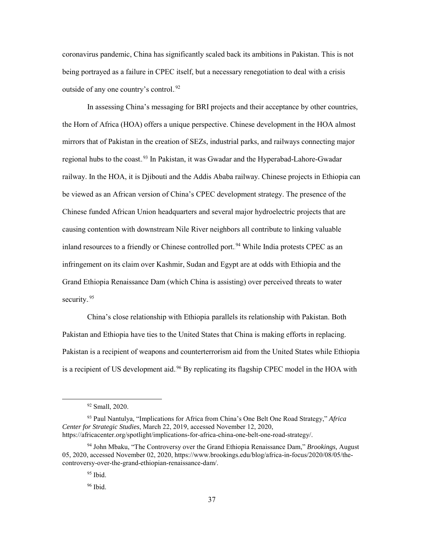coronavirus pandemic, China has significantly scaled back its ambitions in Pakistan. This is not being portrayed as a failure in CPEC itself, but a necessary renegotiation to deal with a crisis outside of any one country's control.<sup>92</sup>

In assessing China's messaging for BRI projects and their acceptance by other countries, the Horn of Africa (HOA) offers a unique perspective. Chinese development in the HOA almost mirrors that of Pakistan in the creation of SEZs, industrial parks, and railways connecting major regional hubs to the coast.<sup>93</sup> In Pakistan, it was Gwadar and the Hyperabad-Lahore-Gwadar railway. In the HOA, it is Djibouti and the Addis Ababa railway. Chinese projects in Ethiopia can be viewed as an African version of China's CPEC development strategy. The presence of the Chinese funded African Union headquarters and several major hydroelectric projects that are causing contention with downstream Nile River neighbors all contribute to linking valuable inland resources to a friendly or Chinese controlled port.<sup>94</sup> While India protests CPEC as an infringement on its claim over Kashmir, Sudan and Egypt are at odds with Ethiopia and the Grand Ethiopia Renaissance Dam (which China is assisting) over perceived threats to water security.<sup>95</sup>

China's close relationship with Ethiopia parallels its relationship with Pakistan. Both Pakistan and Ethiopia have ties to the United States that China is making efforts in replacing. Pakistan is a recipient of weapons and counterterrorism aid from the United States while Ethiopia is a recipient of US development aid.<sup>96</sup> By replicating its flagship CPEC model in the HOA with

 <sup>92</sup> Small, 2020.

<sup>93</sup> Paul Nantulya, "Implications for Africa from China's One Belt One Road Strategy," *Africa Center for Strategic Studies*, March 22, 2019, accessed November 12, 2020, https://africacenter.org/spotlight/implications-for-africa-china-one-belt-one-road-strategy/.

<sup>94</sup> John Mbaku, "The Controversy over the Grand Ethiopia Renaissance Dam," *Brookings,* August 05, 2020, accessed November 02, 2020, https://www.brookings.edu/blog/africa-in-focus/2020/08/05/thecontroversy-over-the-grand-ethiopian-renaissance-dam/.

<sup>95</sup> Ibid.

<sup>96</sup> Ibid.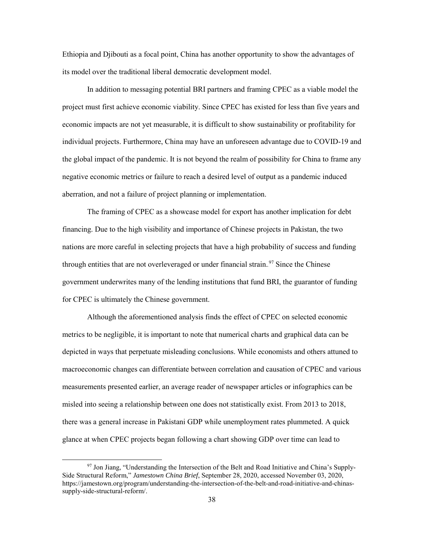Ethiopia and Djibouti as a focal point, China has another opportunity to show the advantages of its model over the traditional liberal democratic development model.

 In addition to messaging potential BRI partners and framing CPEC as a viable model the project must first achieve economic viability. Since CPEC has existed for less than five years and economic impacts are not yet measurable, it is difficult to show sustainability or profitability for individual projects. Furthermore, China may have an unforeseen advantage due to COVID-19 and the global impact of the pandemic. It is not beyond the realm of possibility for China to frame any negative economic metrics or failure to reach a desired level of output as a pandemic induced aberration, and not a failure of project planning or implementation.

The framing of CPEC as a showcase model for export has another implication for debt financing. Due to the high visibility and importance of Chinese projects in Pakistan, the two nations are more careful in selecting projects that have a high probability of success and funding through entities that are not overleveraged or under financial strain.<sup>97</sup> Since the Chinese government underwrites many of the lending institutions that fund BRI, the guarantor of funding for CPEC is ultimately the Chinese government.

 Although the aforementioned analysis finds the effect of CPEC on selected economic metrics to be negligible, it is important to note that numerical charts and graphical data can be depicted in ways that perpetuate misleading conclusions. While economists and others attuned to macroeconomic changes can differentiate between correlation and causation of CPEC and various measurements presented earlier, an average reader of newspaper articles or infographics can be misled into seeing a relationship between one does not statistically exist. From 2013 to 2018, there was a general increase in Pakistani GDP while unemployment rates plummeted. A quick glance at when CPEC projects began following a chart showing GDP over time can lead to

 <sup>97</sup> Jon Jiang, "Understanding the Intersection of the Belt and Road Initiative and China's Supply-Side Structural Reform," *Jamestown China Brief*, September 28, 2020, accessed November 03, 2020, https://jamestown.org/program/understanding-the-intersection-of-the-belt-and-road-initiative-and-chinassupply-side-structural-reform/.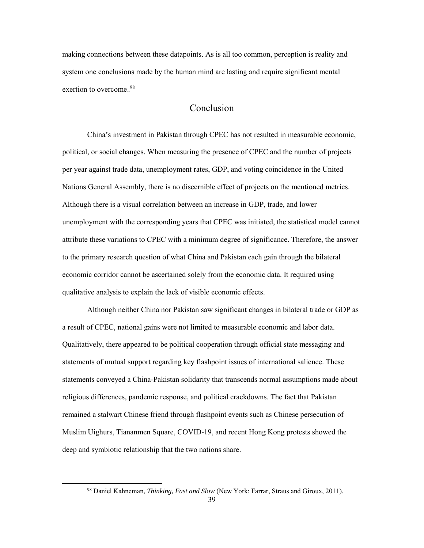making connections between these datapoints. As is all too common, perception is reality and system one conclusions made by the human mind are lasting and require significant mental exertion to overcome.<sup>98</sup>

## Conclusion

China's investment in Pakistan through CPEC has not resulted in measurable economic, political, or social changes. When measuring the presence of CPEC and the number of projects per year against trade data, unemployment rates, GDP, and voting coincidence in the United Nations General Assembly, there is no discernible effect of projects on the mentioned metrics. Although there is a visual correlation between an increase in GDP, trade, and lower unemployment with the corresponding years that CPEC was initiated, the statistical model cannot attribute these variations to CPEC with a minimum degree of significance. Therefore, the answer to the primary research question of what China and Pakistan each gain through the bilateral economic corridor cannot be ascertained solely from the economic data. It required using qualitative analysis to explain the lack of visible economic effects.

Although neither China nor Pakistan saw significant changes in bilateral trade or GDP as a result of CPEC, national gains were not limited to measurable economic and labor data. Qualitatively, there appeared to be political cooperation through official state messaging and statements of mutual support regarding key flashpoint issues of international salience. These statements conveyed a China-Pakistan solidarity that transcends normal assumptions made about religious differences, pandemic response, and political crackdowns. The fact that Pakistan remained a stalwart Chinese friend through flashpoint events such as Chinese persecution of Muslim Uighurs, Tiananmen Square, COVID-19, and recent Hong Kong protests showed the deep and symbiotic relationship that the two nations share.

 <sup>98</sup> Daniel Kahneman, *Thinking, Fast and Slow* (New York: Farrar, Straus and Giroux, 2011).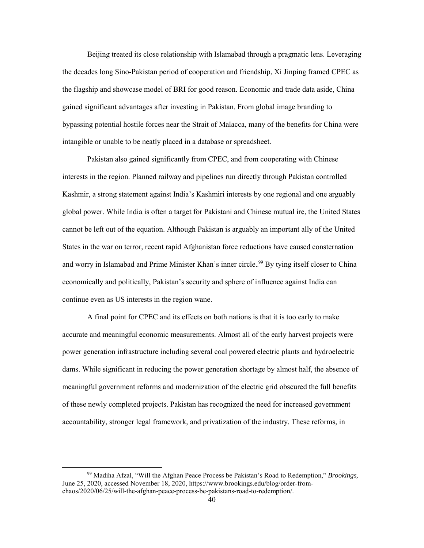Beijing treated its close relationship with Islamabad through a pragmatic lens. Leveraging the decades long Sino-Pakistan period of cooperation and friendship, Xi Jinping framed CPEC as the flagship and showcase model of BRI for good reason. Economic and trade data aside, China gained significant advantages after investing in Pakistan. From global image branding to bypassing potential hostile forces near the Strait of Malacca, many of the benefits for China were intangible or unable to be neatly placed in a database or spreadsheet.

Pakistan also gained significantly from CPEC, and from cooperating with Chinese interests in the region. Planned railway and pipelines run directly through Pakistan controlled Kashmir, a strong statement against India's Kashmiri interests by one regional and one arguably global power. While India is often a target for Pakistani and Chinese mutual ire, the United States cannot be left out of the equation. Although Pakistan is arguably an important ally of the United States in the war on terror, recent rapid Afghanistan force reductions have caused consternation and worry in Islamabad and Prime Minister Khan's inner circle.<sup>99</sup> By tying itself closer to China economically and politically, Pakistan's security and sphere of influence against India can continue even as US interests in the region wane.

A final point for CPEC and its effects on both nations is that it is too early to make accurate and meaningful economic measurements. Almost all of the early harvest projects were power generation infrastructure including several coal powered electric plants and hydroelectric dams. While significant in reducing the power generation shortage by almost half, the absence of meaningful government reforms and modernization of the electric grid obscured the full benefits of these newly completed projects. Pakistan has recognized the need for increased government accountability, stronger legal framework, and privatization of the industry. These reforms, in

 <sup>99</sup> Madiha Afzal, "Will the Afghan Peace Process be Pakistan's Road to Redemption," *Brookings,*  June 25, 2020, accessed November 18, 2020, https://www.brookings.edu/blog/order-fromchaos/2020/06/25/will-the-afghan-peace-process-be-pakistans-road-to-redemption/.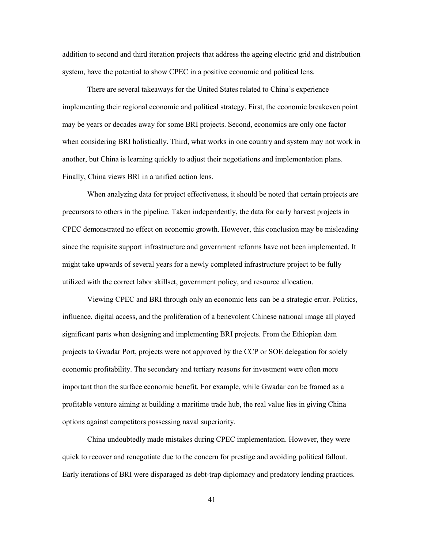addition to second and third iteration projects that address the ageing electric grid and distribution system, have the potential to show CPEC in a positive economic and political lens.

There are several takeaways for the United States related to China's experience implementing their regional economic and political strategy. First, the economic breakeven point may be years or decades away for some BRI projects. Second, economics are only one factor when considering BRI holistically. Third, what works in one country and system may not work in another, but China is learning quickly to adjust their negotiations and implementation plans. Finally, China views BRI in a unified action lens.

When analyzing data for project effectiveness, it should be noted that certain projects are precursors to others in the pipeline. Taken independently, the data for early harvest projects in CPEC demonstrated no effect on economic growth. However, this conclusion may be misleading since the requisite support infrastructure and government reforms have not been implemented. It might take upwards of several years for a newly completed infrastructure project to be fully utilized with the correct labor skillset, government policy, and resource allocation.

 Viewing CPEC and BRI through only an economic lens can be a strategic error. Politics, influence, digital access, and the proliferation of a benevolent Chinese national image all played significant parts when designing and implementing BRI projects. From the Ethiopian dam projects to Gwadar Port, projects were not approved by the CCP or SOE delegation for solely economic profitability. The secondary and tertiary reasons for investment were often more important than the surface economic benefit. For example, while Gwadar can be framed as a profitable venture aiming at building a maritime trade hub, the real value lies in giving China options against competitors possessing naval superiority.

China undoubtedly made mistakes during CPEC implementation. However, they were quick to recover and renegotiate due to the concern for prestige and avoiding political fallout. Early iterations of BRI were disparaged as debt-trap diplomacy and predatory lending practices.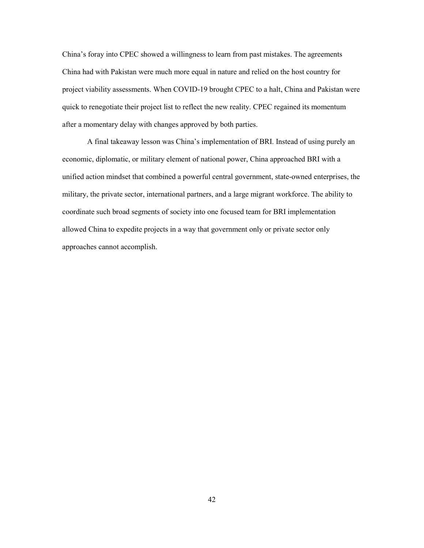China's foray into CPEC showed a willingness to learn from past mistakes. The agreements China had with Pakistan were much more equal in nature and relied on the host country for project viability assessments. When COVID-19 brought CPEC to a halt, China and Pakistan were quick to renegotiate their project list to reflect the new reality. CPEC regained its momentum after a momentary delay with changes approved by both parties.

A final takeaway lesson was China's implementation of BRI. Instead of using purely an economic, diplomatic, or military element of national power, China approached BRI with a unified action mindset that combined a powerful central government, state-owned enterprises, the military, the private sector, international partners, and a large migrant workforce. The ability to coordinate such broad segments of society into one focused team for BRI implementation allowed China to expedite projects in a way that government only or private sector only approaches cannot accomplish.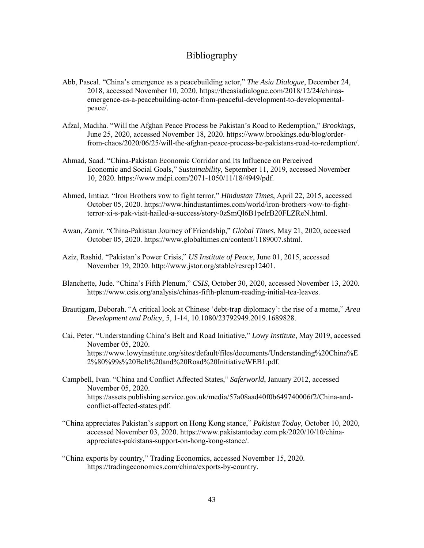## Bibliography

- Abb, Pascal. "China's emergence as a peacebuilding actor," *The Asia Dialogue*, December 24, 2018, accessed November 10, 2020. [https://theasiadialogue.com/2018/12/24/chinas](https://theasiadialogue.com/2018/12/24/chinas-)emergence-as-a-peacebuilding-actor-from-peaceful-development-to-developmentalpeace/.
- Afzal, Madiha. "Will the Afghan Peace Process be Pakistan's Road to Redemption," *Brookings,*  June 25, 2020, accessed November 18, 2020. [https://www.brookings.edu/blog/order](https://www.brookings.edu/blog/order-)from-chaos/2020/06/25/will-the-afghan-peace-process-be-pakistans-road-to-redemption/.
- Ahmad, Saad. "China-Pakistan Economic Corridor and Its Influence on Perceived Economic and Social Goals," *Sustainability*, September 11, 2019, accessed November 10, 2020. [https://www.mdpi.com/2071-1050/11/18/4949/pdf.](https://www.mdpi.com/2071-1050/11/18/4949/pdf)
- Ahmed, Imtiaz. "Iron Brothers vow to fight terror," *Hindustan Times*, April 22, 2015, accessed October 05, 2020. [https://www.hindustantimes.com/world/iron-brothers-vow-to-fight](https://www.hindustantimes.com/world/iron-brothers-vow-to-fight-%09terror-xi-s-pak-visit-hailed-a-success/story-0zSmQl6B1peIrB20FLZReN.html)[terror-xi-s-pak-visit-hailed-a-success/story-0zSmQl6B1peIrB20FLZReN.html.](https://www.hindustantimes.com/world/iron-brothers-vow-to-fight-%09terror-xi-s-pak-visit-hailed-a-success/story-0zSmQl6B1peIrB20FLZReN.html)
- Awan, Zamir. "China-Pakistan Journey of Friendship," *Global Times*, May 21, 2020, accessed October 05, 2020. [https://www.globaltimes.cn/content/1189007.shtml.](https://www.globaltimes.cn/content/1189007.shtml)
- Aziz, Rashid. "Pakistan's Power Crisis," *US Institute of Peace*, June 01, 2015, accessed November 19, 2020. [http://www.jstor.org/stable/resrep12401.](http://www.jstor.org/stable/resrep12401)
- Blanchette, Jude. "China's Fifth Plenum," *CSIS*, October 30, 2020, accessed November 13, 2020. [https://www.csis.org/analysis/chinas-fifth-plenum-reading-initial-tea-leaves.](https://www.csis.org/analysis/chinas-fifth-plenum-reading-initial-tea-leaves)
- Brautigam, Deborah. "A critical look at Chinese 'debt-trap diplomacy': the rise of a meme," *Area Development and Policy*, 5, 1-14, 10.1080/23792949.2019.1689828.
- Cai, Peter. "Understanding China's Belt and Road Initiative," *Lowy Institute*, May 2019, accessed November 05, 2020. [https://www.lowyinstitute.org/sites/default/files/documents/Understanding%20China%E](https://www.lowyinstitute.org/sites/default/files/documents/Understanding%20China%25E) 2%80%99s%20Belt%20and%20Road%20InitiativeWEB1.pdf.
- Campbell, Ivan. "China and Conflict Affected States," *Saferworld*, January 2012, accessed November 05, 2020. [https://assets.publishing.service.gov.uk/media/57a08aad40f0b649740006f2/China-and](https://assets.publishing.service.gov.uk/media/57a08aad40f0b649740006f2/China-and-) conflict-affected-states.pdf.
- "China appreciates Pakistan's support on Hong Kong stance," *Pakistan Today*, October 10, 2020, accessed November 03, 2020. [https://www.pakistantoday.com.pk/2020/10/10/china](https://www.pakistantoday.com.pk/2020/10/10/china-)appreciates-pakistans-support-on-hong-kong-stance/.
- "China exports by country," Trading Economics, accessed November 15, 2020. [https://tradingeconomics.com/china/exports-by-country.](https://tradingeconomics.com/china/exports-by-country)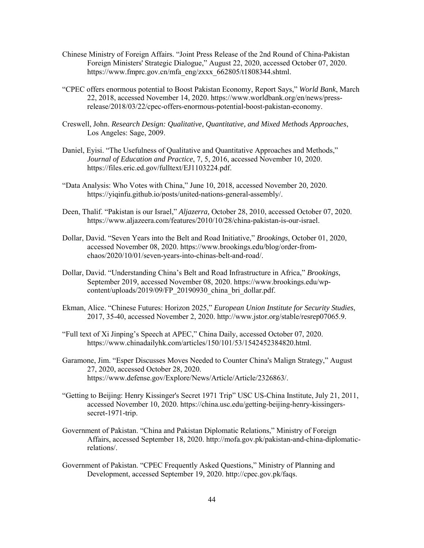- Chinese Ministry of Foreign Affairs. "Joint Press Release of the 2nd Round of China-Pakistan Foreign Ministers' Strategic Dialogue," August 22, 2020, accessed October 07, 2020. [https://www.fmprc.gov.cn/mfa\\_eng/zxxx\\_662805/t1808344.shtml.](https://www.fmprc.gov.cn/mfa_eng/zxxx_662805/t1808344.shtml)
- "CPEC offers enormous potential to Boost Pakistan Economy, Report Says," *World Bank*, March 22, 2018, accessed November 14, 2020. [https://www.worldbank.org/en/news/press](https://www.worldbank.org/en/news/press-)release/2018/03/22/cpec-offers-enormous-potential-boost-pakistan-economy.
- Creswell, John. *Research Design: Qualitative, Quantitative, and Mixed Methods Approaches*, Los Angeles: Sage, 2009.
- Daniel, Eyisi. "The Usefulness of Qualitative and Quantitative Approaches and Methods," *Journal of Education and Practice*, 7, 5, 2016, accessed November 10, 2020. [https://files.eric.ed.gov/fulltext/EJ1103224.pdf.](https://files.eric.ed.gov/fulltext/EJ1103224.pdf)
- "Data Analysis: Who Votes with China," June 10, 2018, accessed November 20, 2020. [https://yiqinfu.github.io/posts/united-nations-general-assembly/.](https://yiqinfu.github.io/posts/united-nations-general-assembly/)
- Deen, Thalif. "Pakistan is our Israel," *Aljazerra,* October 28, 2010, accessed October 07, 2020. [https://www.aljazeera.com/features/2010/10/28/china-pakistan-is-our-israel.](https://www.aljazeera.com/features/2010/10/28/china-pakistan-is-our-israel)
- Dollar, David. "Seven Years into the Belt and Road Initiative," *Brookings*, October 01, 2020, accessed November 08, 2020. [https://www.brookings.edu/blog/order-from](https://www.brookings.edu/blog/order-from-%09chaos/2020/10/01/seven-years-into-chinas-belt-and-road/)  [chaos/2020/10/01/seven-years-into-chinas-belt-and-road/.](https://www.brookings.edu/blog/order-from-%09chaos/2020/10/01/seven-years-into-chinas-belt-and-road/)
- Dollar, David. "Understanding China's Belt and Road Infrastructure in Africa," *Brookings*, September 2019, accessed November 08, 2020[. https://www.brookings.edu/wp](https://www.brookings.edu/wp-) content/uploads/2019/09/FP\_20190930\_china\_bri\_dollar.pdf.
- Ekman, Alice. "Chinese Futures: Horizon 2025," *European Union Institute for Security Studies*, 2017, 35-40, accessed November 2, 2020. [http://www.jstor.org/stable/resrep07065.9.](http://www.jstor.org/stable/resrep07065.9)
- "Full text of Xi Jinping's Speech at APEC," China Daily, accessed October 07, 2020. [https://www.chinadailyhk.com/articles/150/101/53/1542452384820.html.](https://www.chinadailyhk.com/articles/150/101/53/1542452384820.html)
- Garamone, Jim. "Esper Discusses Moves Needed to Counter China's Malign Strategy," August 27, 2020, accessed October 28, 2020. [https://www.defense.gov/Explore/News/Article/Article/2326863/.](https://www.defense.gov/Explore/News/Article/Article/2326863/)
- "Getting to Beijing: Henry Kissinger's Secret 1971 Trip" USC US-China Institute, July 21, 2011, accessed November 10, 2020. [https://china.usc.edu/getting-beijing-henry-kissingers](https://china.usc.edu/getting-beijing-henry-kissingers-)secret-1971-trip.
- Government of Pakistan. "China and Pakistan Diplomatic Relations," Ministry of Foreign Affairs, accessed September 18, 2020[. http://mofa.gov.pk/pakistan-and-china-diplomatic](http://mofa.gov.pk/pakistan-and-china-diplomatic-)relations/.
- Government of Pakistan. "CPEC Frequently Asked Questions," Ministry of Planning and Development, accessed September 19, 2020. [http://cpec.gov.pk/faqs.](http://cpec.gov.pk/faqs)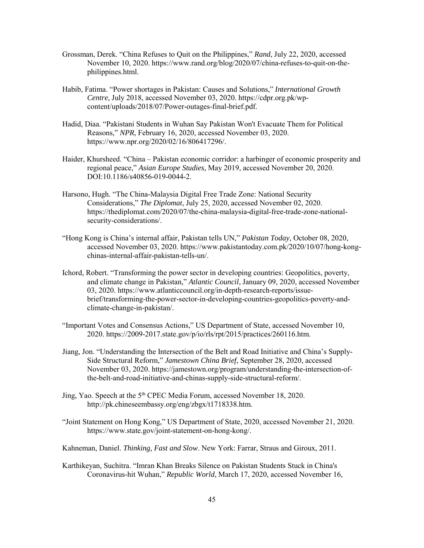- Grossman, Derek. "China Refuses to Quit on the Philippines," *Rand*, July 22, 2020, accessed November 10, 2020. [https://www.rand.org/blog/2020/07/china-refuses-to-quit-on-the](https://www.rand.org/blog/2020/07/china-refuses-to-quit-on-the-) philippines.html.
- Habib, Fatima. "Power shortages in Pakistan: Causes and Solutions," *International Growth Centre,* July 2018, accessed November 03, 2020. [https://cdpr.org.pk/wp](https://cdpr.org.pk/wp-) content/uploads/2018/07/Power-outages-final-brief.pdf.
- Hadid, Diaa. "Pakistani Students in Wuhan Say Pakistan Won't Evacuate Them for Political Reasons," *NPR*, February 16, 2020, accessed November 03, 2020. [https://www.npr.org/2020/02/16/806417296/.](https://www.npr.org/2020/02/16/806417296/)
- Haider, Khursheed. "China Pakistan economic corridor: a harbinger of economic prosperity and regional peace," *Asian Europe Studies,* May 2019, accessed November 20, 2020. DOI:10.1186/s40856-019-0044-2.
- Harsono, Hugh. "The China-Malaysia Digital Free Trade Zone: National Security Considerations," *The Diplomat*, July 25, 2020, accessed November 02, 2020. [https://thediplomat.com/2020/07/the-china-malaysia-digital-free-trade-zone-national](https://thediplomat.com/2020/07/the-china-malaysia-digital-free-trade-zone-national-)security-considerations/.
- "Hong Kong is China's internal affair, Pakistan tells UN," *Pakistan Today*, October 08, 2020, accessed November 03, 2020. [https://www.pakistantoday.com.pk/2020/10/07/hong-kong](https://www.pakistantoday.com.pk/2020/10/07/hong-kong-) chinas-internal-affair-pakistan-tells-un/.
- Ichord, Robert. "Transforming the power sector in developing countries: Geopolitics, poverty, and climate change in Pakistan," *Atlantic Council*, January 09, 2020, accessed November 03, 2020. [https://www.atlanticcouncil.org/in-depth-research-reports/issue](https://www.atlanticcouncil.org/in-depth-research-reports/issue-) brief/transforming-the-power-sector-in-developing-countries-geopolitics-poverty-andclimate-change-in-pakistan/.
- "Important Votes and Consensus Actions," US Department of State, accessed November 10, 2020. https://2009-2017.state.gov/p/io/rls/rpt/2015/practices/260116.htm.
- Jiang, Jon. "Understanding the Intersection of the Belt and Road Initiative and China's Supply-Side Structural Reform," *Jamestown China Brief*, September 28, 2020, accessed November 03, 2020. [https://jamestown.org/program/understanding-the-intersection-of](https://jamestown.org/program/understanding-the-intersection-of-) the-belt-and-road-initiative-and-chinas-supply-side-structural-reform/.
- Jing, Yao. Speech at the 5th CPEC Media Forum, accessed November 18, 2020. [http://pk.chineseembassy.org/eng/zbgx/t1718338.htm.](http://pk.chineseembassy.org/eng/zbgx/t1718338.htm)
- "Joint Statement on Hong Kong," US Department of State, 2020, accessed November 21, 2020. https://www.state.gov/joint-statement-on-hong-kong/.
- Kahneman, Daniel. *Thinking, Fast and Slow*. New York: Farrar, Straus and Giroux, 2011.
- Karthikeyan, Suchitra. "Imran Khan Breaks Silence on Pakistan Students Stuck in China's Coronavirus-hit Wuhan," *Republic World*, March 17, 2020, accessed November 16,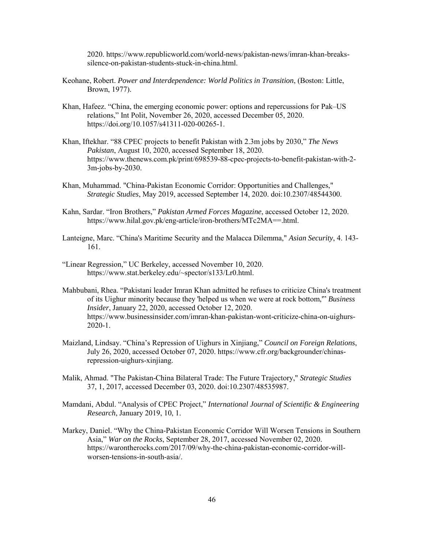2020. [https://www.republicworld.com/world-news/pakistan-news/imran-khan-breaks](https://www.republicworld.com/world-news/pakistan-news/imran-khan-breaks-%09silence-on-pakistan-students-stuck-in-china.html)[silence-on-pakistan-students-stuck-in-china.html.](https://www.republicworld.com/world-news/pakistan-news/imran-khan-breaks-%09silence-on-pakistan-students-stuck-in-china.html)

- Keohane, Robert. *Power and Interdependence: World Politics in Transition*, (Boston: Little, Brown, 1977).
- Khan, Hafeez. "China, the emerging economic power: options and repercussions for Pak–US relations," Int Polit, November 26, 2020, accessed December 05, 2020. https://doi.org/10.1057/s41311-020-00265-1.
- Khan, Iftekhar. "88 CPEC projects to benefit Pakistan with 2.3m jobs by 2030," *The News Pakistan*, August 10, 2020, accessed September 18, 2020. <https://www.thenews.com.pk/print/698539-88-cpec-projects-to-benefit-pakistan-with-2-> 3m-jobs-by-2030.
- Khan, Muhammad. "China-Pakistan Economic Corridor: Opportunities and Challenges," *Strategic Studies*, May 2019, accessed September 14, 2020. doi:10.2307/48544300.
- Kahn, Sardar. "Iron Brothers," *Pakistan Armed Forces Magazine*, accessed October 12, 2020. [https://www.hilal.gov.pk/eng-article/iron-brothers/MTc2MA==.html.](https://www.hilal.gov.pk/eng-article/iron-brothers/MTc2MA==.html)
- Lanteigne, Marc. "China's Maritime Security and the Malacca Dilemma," *Asian Security*, 4. 143- 161.
- "Linear Regression," UC Berkeley, accessed November 10, 2020. [https://www.stat.berkeley.edu/~spector/s133/Lr0.html.](https://www.stat.berkeley.edu/%7Espector/s133/Lr0.html)
- Mahbubani, Rhea. "Pakistani leader Imran Khan admitted he refuses to criticize China's treatment of its Uighur minority because they 'helped us when we were at rock bottom,'" *Business Insider*, January 22, 2020, accessed October 12, 2020. <https://www.businessinsider.com/imran-khan-pakistan-wont-criticize-china-on-uighurs-> 2020-1.
- Maizland, Lindsay. "China's Repression of Uighurs in Xinjiang," *Council on Foreign Relations*, July 26, 2020, accessed October 07, 2020. [https://www.cfr.org/backgrounder/chinas](https://www.cfr.org/backgrounder/chinas-)repression-uighurs-xinjiang.
- Malik, Ahmad. "The Pakistan-China Bilateral Trade: The Future Trajectory," *Strategic Studies* 37, 1, 2017, accessed December 03, 2020. doi:10.2307/48535987.
- Mamdani, Abdul. "Analysis of CPEC Project," *International Journal of Scientific & Engineering Research*, January 2019, 10, 1.
- Markey, Daniel. "Why the China-Pakistan Economic Corridor Will Worsen Tensions in Southern Asia," *War on the Rocks*, September 28, 2017, accessed November 02, 2020. [https://warontherocks.com/2017/09/why-the-china-pakistan-economic-corridor-will](https://warontherocks.com/2017/09/why-the-china-pakistan-economic-corridor-will-%09worsen-tensions-in-south-asia/)[worsen-tensions-in-south-asia/.](https://warontherocks.com/2017/09/why-the-china-pakistan-economic-corridor-will-%09worsen-tensions-in-south-asia/)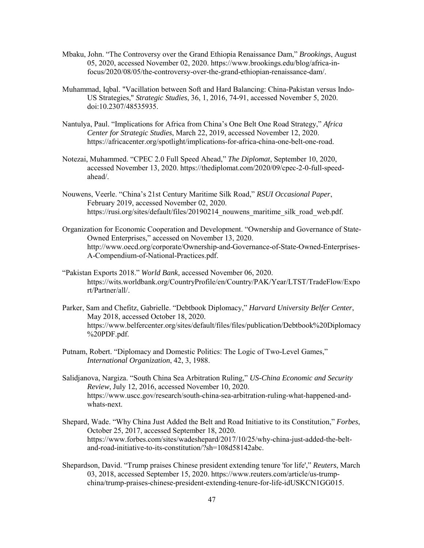- Mbaku, John. "The Controversy over the Grand Ethiopia Renaissance Dam," *Brookings*, August 05, 2020, accessed November 02, 2020. [https://www.brookings.edu/blog/africa-in](https://www.brookings.edu/blog/africa-in-) focus/2020/08/05/the-controversy-over-the-grand-ethiopian-renaissance-dam/.
- Muhammad, Iqbal. "Vacillation between Soft and Hard Balancing: China-Pakistan versus Indo-US Strategies," *Strategic Studies*, 36, 1, 2016, 74-91, accessed November 5, 2020. doi:10.2307/48535935.
- Nantulya, Paul. "Implications for Africa from China's One Belt One Road Strategy," *Africa Center for Strategic Studies*, March 22, 2019, accessed November 12, 2020. [https://africacenter.org/spotlight/implications-for-africa-china-one-belt-one-road.](https://africacenter.org/spotlight/implications-for-africa-china-one-belt-one-road-)
- Notezai, Muhammed. "CPEC 2.0 Full Speed Ahead," *The Diplomat*, September 10, 2020, accessed November 13, 2020. [https://thediplomat.com/2020/09/cpec-2-0-full-speed](https://thediplomat.com/2020/09/cpec-2-0-full-speed-)ahead/.
- Nouwens, Veerle. "China's 21st Century Maritime Silk Road," *RSUI Occasional Paper*, February 2019, accessed November 02, 2020. https://rusi.org/sites/default/files/20190214 nouwens maritime silk road web.pdf.
- Organization for Economic Cooperation and Development. "Ownership and Governance of State- Owned Enterprises," accessed on November 13, 2020. [http://www.oecd.org/corporate/Ownership-and-Governance-of-State-Owned-Enterprises-](http://www.oecd.org/corporate/Ownership-and-Governance-of-State-Owned-Enterprises-%09A-Compendium-of-National-Practices.pdf)  [A-Compendium-of-National-Practices.pdf.](http://www.oecd.org/corporate/Ownership-and-Governance-of-State-Owned-Enterprises-%09A-Compendium-of-National-Practices.pdf)
- "Pakistan Exports 2018." *World Bank,* accessed November 06, 2020. <https://wits.worldbank.org/CountryProfile/en/Country/PAK/Year/LTST/TradeFlow/Expo> rt/Partner/all/.
- Parker, Sam and Chefitz, Gabrielle. "Debtbook Diplomacy," *Harvard University Belfer Center*, May 2018, accessed October 18, 2020. <https://www.belfercenter.org/sites/default/files/files/publication/Debtbook%20Diplomacy> %20PDF.pdf.
- Putnam, Robert. "Diplomacy and Domestic Politics: The Logic of Two-Level Games," *International Organization*, 42, 3, 1988.
- Salidjanova, Nargiza. "South China Sea Arbitration Ruling," *US-China Economic and Security Review*, July 12, 2016, accessed November 10, 2020. [https://www.uscc.gov/research/south-china-sea-arbitration-ruling-what-happened-and](https://www.uscc.gov/research/south-china-sea-arbitration-ruling-what-happened-and-%09whats-next)[whats-next.](https://www.uscc.gov/research/south-china-sea-arbitration-ruling-what-happened-and-%09whats-next)
- Shepard, Wade. "Why China Just Added the Belt and Road Initiative to its Constitution," *Forbes*, October 25, 2017, accessed September 18, 2020. [https://www.forbes.com/sites/wadeshepard/2017/10/25/why-china-just-added-the-belt](https://www.forbes.com/sites/wadeshepard/2017/10/25/why-china-just-added-the-belt-%09and-road-initiative-to-its-constitution/?sh=108d58142abc)  [and-road-initiative-to-its-constitution/?sh=108d58142abc.](https://www.forbes.com/sites/wadeshepard/2017/10/25/why-china-just-added-the-belt-%09and-road-initiative-to-its-constitution/?sh=108d58142abc)
- Shepardson, David. "Trump praises Chinese president extending tenure 'for life'," *Reuters*, March 03, 2018, accessed September 15, 2020. [https://www.reuters.com/article/us-trump](https://www.reuters.com/article/us-trump-) china/trump-praises-chinese-president-extending-tenure-for-life-idUSKCN1GG015.